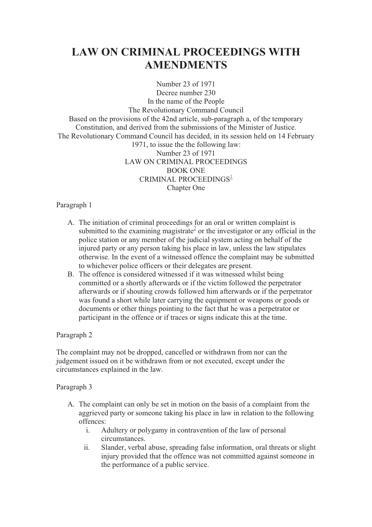# **LAW ON CRIMINAL PROCEEDINGS WITH AMENDMENTS**

Number 23 of 1971 Decree number 230 In the name of the People The Revolutionary Command Council Based on the provisions of the 42nd article, sub-paragraph a, of the temporary Constitution, and derived from the submissions of the Minister of Justice. The Revolutionary Command Council has decided, in its session held on 14 February 1971, to issue the the following law: Number 23 of 1971 LAW ON CRIMINAL PROCEEDINGS BOOK ONE CRIMINAL PROCEEDINGS<sup>1</sup> Chapter One

# Paragraph 1

- A. The initiation of criminal proceedings for an oral or written complaint is submitted to the examining magistrate<sup>2</sup> or the investigator or any official in the police station or any member of the judicial system acting on behalf of the injured party or any person taking his place in law, unless the law stipulates otherwise. In the event of a witnessed offence the complaint may be submitted to whichever police officers or their delegates are present.
- B. The offence is considered witnessed if it was witnessed whilst being committed or a shortly afterwards or if the victim followed the perpetrator afterwards or if shouting crowds followed him afterwards or if the perpetrator was found a short while later carrying the equipment or weapons or goods or documents or other things pointing to the fact that he was a perpetrator or participant in the offence or if traces or signs indicate this at the time.

# Paragraph 2

The complaint may not be dropped, cancelled or withdrawn from nor can the judgement issued on it be withdrawn from or not executed, except under the circumstances explained in the law.

- A. The complaint can only be set in motion on the basis of a complaint from the aggrieved party or someone taking his place in law in relation to the following offences:
	- i. Adultery or polygamy in contravention of the law of personal circumstances.
	- ii. Slander, verbal abuse, spreading false information, oral threats or slight injury provided that the offence was not committed against someone in the performance of a public service.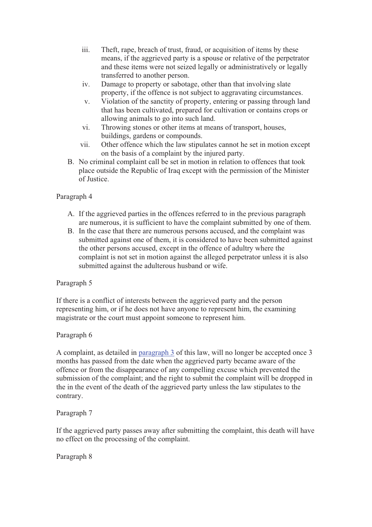- iii. Theft, rape, breach of trust, fraud, or acquisition of items by these means, if the aggrieved party is a spouse or relative of the perpetrator and these items were not seized legally or administratively or legally transferred to another person.
- iv. Damage to property or sabotage, other than that involving slate property, if the offence is not subject to aggravating circumstances.
- v. Violation of the sanctity of property, entering or passing through land that has been cultivated, prepared for cultivation or contains crops or allowing animals to go into such land.
- vi. Throwing stones or other items at means of transport, houses, buildings, gardens or compounds.
- vii. Other offence which the law stipulates cannot he set in motion except on the basis of a complaint by the injured party.
- B. No criminal complaint call be set in motion in relation to offences that took place outside the Republic of Iraq except with the permission of the Minister of Justice.

- A. If the aggrieved parties in the offences referred to in the previous paragraph are numerous, it is sufficient to have the complaint submitted by one of them.
- B. In the case that there are numerous persons accused, and the complaint was submitted against one of them, it is considered to have been submitted against the other persons accused, except in the offence of adultry where the complaint is not set in motion against the alleged perpetrator unless it is also submitted against the adulterous husband or wife.

# Paragraph 5

If there is a conflict of interests between the aggrieved party and the person representing him, or if he does not have anyone to represent him, the examining magistrate or the court must appoint someone to represent him.

# Paragraph 6

A complaint, as detailed in paragraph 3 of this law, will no longer be accepted once 3 months has passed from the date when the aggrieved party became aware of the offence or from the disappearance of any compelling excuse which prevented the submission of the complaint; and the right to submit the complaint will be dropped in the in the event of the death of the aggrieved party unless the law stipulates to the contrary.

# Paragraph 7

If the aggrieved party passes away after submitting the complaint, this death will have no effect on the processing of the complaint.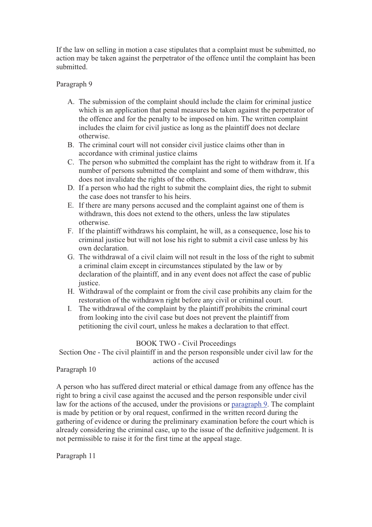If the law on selling in motion a case stipulates that a complaint must be submitted, no action may be taken against the perpetrator of the offence until the complaint has been submitted.

# Paragraph 9

- A. The submission of the complaint should include the claim for criminal justice which is an application that penal measures be taken against the perpetrator of the offence and for the penalty to be imposed on him. The written complaint includes the claim for civil justice as long as the plaintiff does not declare otherwise.
- B. The criminal court will not consider civil justice claims other than in accordance with criminal justice claims
- C. The person who submitted the complaint has the right to withdraw from it. If a number of persons submitted the complaint and some of them withdraw, this does not invalidate the rights of the others.
- D. If a person who had the right to submit the complaint dies, the right to submit the case does not transfer to his heirs.
- E. If there are many persons accused and the complaint against one of them is withdrawn, this does not extend to the others, unless the law stipulates otherwise.
- F. If the plaintiff withdraws his complaint, he will, as a consequence, lose his to criminal justice but will not lose his right to submit a civil case unless by his own declaration.
- G. The withdrawal of a civil claim will not result in the loss of the right to submit a criminal claim except in circumstances stipulated by the law or by declaration of the plaintiff, and in any event does not affect the case of public justice.
- H. Withdrawal of the complaint or from the civil case prohibits any claim for the restoration of the withdrawn right before any civil or criminal court.
- I. The withdrawal of the complaint by the plaintiff prohibits the criminal court from looking into the civil case but does not prevent the plaintiff from petitioning the civil court, unless he makes a declaration to that effect.

# BOOK TWO - Civil Proceedings

Section One - The civil plaintiff in and the person responsible under civil law for the actions of the accused

# Paragraph 10

A person who has suffered direct material or ethical damage from any offence has the right to bring a civil case against the accused and the person responsible under civil law for the actions of the accused, under the provisions or paragraph 9. The complaint is made by petition or by oral request, confirmed in the written record during the gathering of evidence or during the preliminary examination before the court which is already considering the criminal case, up to the issue of the definitive judgement. It is not permissible to raise it for the first time at the appeal stage.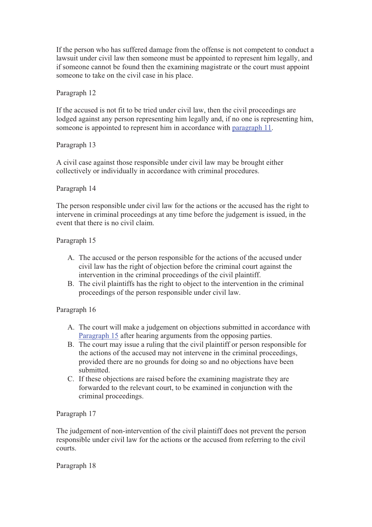If the person who has suffered damage from the offense is not competent to conduct a lawsuit under civil law then someone must be appointed to represent him legally, and if someone cannot be found then the examining magistrate or the court must appoint someone to take on the civil case in his place.

Paragraph 12

If the accused is not fit to be tried under civil law, then the civil proceedings are lodged against any person representing him legally and, if no one is representing him, someone is appointed to represent him in accordance with paragraph 11.

Paragraph 13

A civil case against those responsible under civil law may be brought either collectively or individually in accordance with criminal procedures.

Paragraph 14

The person responsible under civil law for the actions or the accused has the right to intervene in criminal proceedings at any time before the judgement is issued, in the event that there is no civil claim.

Paragraph 15

- A. The accused or the person responsible for the actions of the accused under civil law has the right of objection before the criminal court against the intervention in the criminal proceedings of the civil plaintiff.
- B. The civil plaintiffs has the right to object to the intervention in the criminal proceedings of the person responsible under civil law.

# Paragraph 16

- A. The court will make a judgement on objections submitted in accordance with Paragraph 15 after hearing arguments from the opposing parties.
- B. The court may issue a ruling that the civil plaintiff or person responsible for the actions of the accused may not intervene in the criminal proceedings, provided there are no grounds for doing so and no objections have been submitted.
- C. If these objections are raised before the examining magistrate they are forwarded to the relevant court, to be examined in conjunction with the criminal proceedings.

Paragraph 17

The judgement of non-intervention of the civil plaintiff does not prevent the person responsible under civil law for the actions or the accused from referring to the civil courts.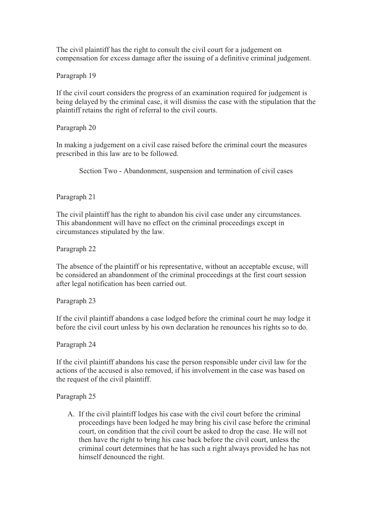The civil plaintiff has the right to consult the civil court for a judgement on compensation for excess damage after the issuing of a definitive criminal judgement.

Paragraph 19

If the civil court considers the progress of an examination required for judgement is being delayed by the criminal case, it will dismiss the case with the stipulation that the plaintiff retains the right of referral to the civil courts.

Paragraph 20

In making a judgement on a civil case raised before the criminal court the measures prescribed in this law are to be followed.

Section Two - Abandonment, suspension and termination of civil cases

Paragraph 21

The civil plaintiff has the right to abandon his civil case under any circumstances. This abandonment will have no effect on the criminal proceedings except in circumstances stipulated by the law.

Paragraph 22

The absence of the plaintiff or his representative, without an acceptable excuse, will be considered an abandonment of the criminal proceedings at the first court session after legal notification has been carried out.

Paragraph 23

If the civil plaintiff abandons a case lodged before the criminal court he may lodge it before the civil court unless by his own declaration he renounces his rights so to do.

Paragraph 24

If the civil plaintiff abandons his case the person responsible under civil law for the actions of the accused is also removed, if his involvement in the case was based on the request of the civil plaintiff.

Paragraph 25

A. If the civil plaintiff lodges his case with the civil court before the criminal proceedings have been lodged he may bring his civil case before the criminal court, on condition that the civil court be asked to drop the case. He will not then have the right to bring his case back before the civil court, unless the criminal court determines that he has such a right always provided he has not himself denounced the right.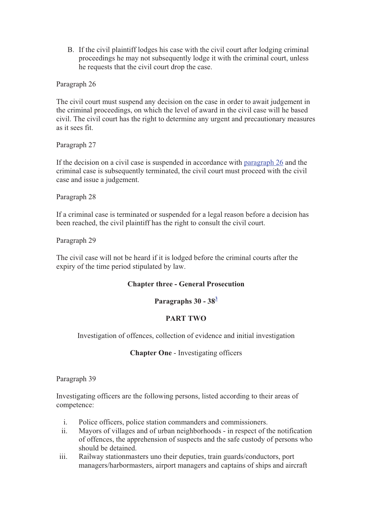B. If the civil plaintiff lodges his case with the civil court after lodging criminal proceedings he may not subsequently lodge it with the criminal court, unless he requests that the civil court drop the case.

Paragraph 26

The civil court must suspend any decision on the case in order to await judgement in the criminal proceedings, on which the level of award in the civil case will he based civil. The civil court has the right to determine any urgent and precautionary measures as it sees fit.

Paragraph 27

If the decision on a civil case is suspended in accordance with paragraph 26 and the criminal case is subsequently terminated, the civil court must proceed with the civil case and issue a judgement.

Paragraph 28

If a criminal case is terminated or suspended for a legal reason before a decision has been reached, the civil plaintiff has the right to consult the civil court.

Paragraph 29

The civil case will not be heard if it is lodged before the criminal courts after the expiry of the time period stipulated by law.

#### **Chapter three - General Prosecution**

# **Paragraphs 30 - 38<sup>3</sup>**

# **PART TWO**

Investigation of offences, collection of evidence and initial investigation

#### **Chapter One** - Investigating officers

Paragraph 39

Investigating officers are the following persons, listed according to their areas of competence:

- i. Police officers, police station commanders and commissioners.
- ii. Mayors of villages and of urban neighborhoods in respect of the notification of offences, the apprehension of suspects and the safe custody of persons who should be detained.
- iii. Railway stationmasters uno their deputies, train guards/conductors, port managers/harbormasters, airport managers and captains of ships and aircraft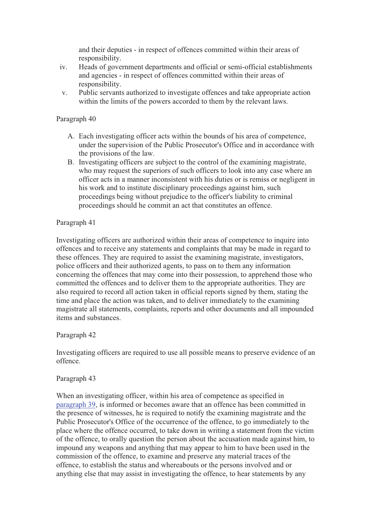and their deputies - in respect of offences committed within their areas of responsibility.

- iv. Heads of government departments and official or semi-official establishments and agencies - in respect of offences committed within their areas of responsibility.
- v. Public servants authorized to investigate offences and take appropriate action within the limits of the powers accorded to them by the relevant laws.

#### Paragraph 40

- A. Each investigating officer acts within the bounds of his area of competence, under the supervision of the Public Prosecutor's Office and in accordance with the provisions of the law.
- B. Investigating officers are subject to the control of the examining magistrate, who may request the superiors of such officers to look into any case where an officer acts in a manner inconsistent with his duties or is remiss or negligent in his work and to institute disciplinary proceedings against him, such proceedings being without prejudice to the officer's liability to criminal proceedings should he commit an act that constitutes an offence.

# Paragraph 41

Investigating officers are authorized within their areas of competence to inquire into offences and to receive any statements and complaints that may be made in regard to these offences. They are required to assist the examining magistrate, investigators, police officers and their authorized agents, to pass on to them any information concerning the offences that may come into their possession, to apprehend those who committed the offences and to deliver them to the appropriate authorities. They are also required to record all action taken in official reports signed by them, stating the time and place the action was taken, and to deliver immediately to the examining magistrate all statements, complaints, reports and other documents and all impounded items and substances.

# Paragraph 42

Investigating officers are required to use all possible means to preserve evidence of an offence.

#### Paragraph 43

When an investigating officer, within his area of competence as specified in paragraph 39, is informed or becomes aware that an offence has been committed in the presence of witnesses, he is required to notify the examining magistrate and the Public Prosecutor's Office of the occurrence of the offence, to go immediately to the place where the offence occurred, to take down in writing a statement from the victim of the offence, to orally question the person about the accusation made against him, to impound any weapons and anything that may appear to him to have been used in the commission of the offence, to examine and preserve any material traces of the offence, to establish the status and whereabouts or the persons involved and or anything else that may assist in investigating the offence, to hear statements by any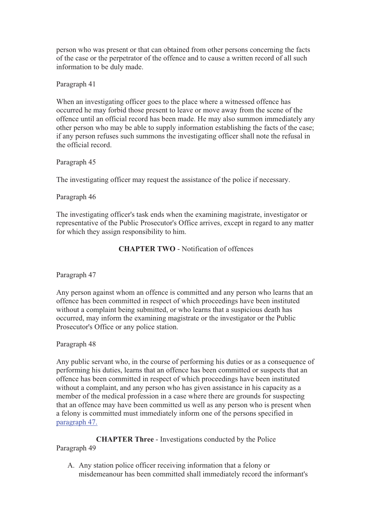person who was present or that can obtained from other persons concerning the facts of the case or the perpetrator of the offence and to cause a written record of all such information to be duly made.

Paragraph 41

When an investigating officer goes to the place where a witnessed offence has occurred he may forbid those present to leave or move away from the scene of the offence until an official record has been made. He may also summon immediately any other person who may be able to supply information establishing the facts of the case; if any person refuses such summons the investigating officer shall note the refusal in the official record.

Paragraph 45

The investigating officer may request the assistance of the police if necessary.

Paragraph 46

The investigating officer's task ends when the examining magistrate, investigator or representative of the Public Prosecutor's Office arrives, except in regard to any matter for which they assign responsibility to him.

**CHAPTER TWO** - Notification of offences

Paragraph 47

Any person against whom an offence is committed and any person who learns that an offence has been committed in respect of which proceedings have been instituted without a complaint being submitted, or who learns that a suspicious death has occurred, may inform the examining magistrate or the investigator or the Public Prosecutor's Office or any police station.

Paragraph 48

Any public servant who, in the course of performing his duties or as a consequence of performing his duties, learns that an offence has been committed or suspects that an offence has been committed in respect of which proceedings have been instituted without a complaint, and any person who has given assistance in his capacity as a member of the medical profession in a case where there are grounds for suspecting that an offence may have been committed us well as any person who is present when a felony is committed must immediately inform one of the persons specified in paragraph 47.

**CHAPTER Three** - Investigations conducted by the Police Paragraph 49

A. Any station police officer receiving information that a felony or misdemeanour has been committed shall immediately record the informant's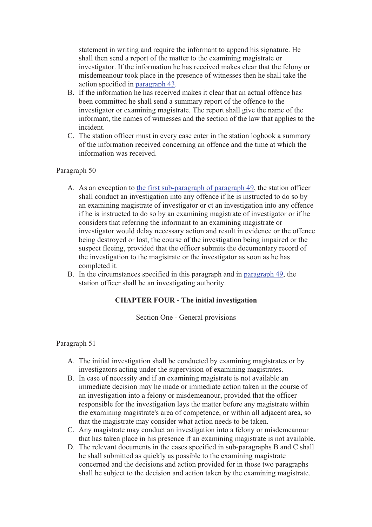statement in writing and require the informant to append his signature. He shall then send a report of the matter to the examining magistrate or investigator. If the information he has received makes clear that the felony or misdemeanour took place in the presence of witnesses then he shall take the action specified in paragraph 43.

- B. If the information he has received makes it clear that an actual offence has been committed he shall send a summary report of the offence to the investigator or examining magistrate. The report shall give the name of the informant, the names of witnesses and the section of the law that applies to the incident.
- C. The station officer must in every case enter in the station logbook a summary of the information received concerning an offence and the time at which the information was received.

## Paragraph 50

- A. As an exception to the first sub-paragraph of paragraph 49, the station officer shall conduct an investigation into any offence if he is instructed to do so by an examining magistrate of investigator or ct an investigation into any offence if he is instructed to do so by an examining magistrate of investigator or if he considers that referring the informant to an examining magistrate or investigator would delay necessary action and result in evidence or the offence being destroyed or lost, the course of the investigation being impaired or the suspect fleeing, provided that the officer submits the documentary record of the investigation to the magistrate or the investigator as soon as he has completed it.
- B. In the circumstances specified in this paragraph and in paragraph 49, the station officer shall be an investigating authority.

# **CHAPTER FOUR - The initial investigation**

Section One - General provisions

- A. The initial investigation shall be conducted by examining magistrates or by investigators acting under the supervision of examining magistrates.
- B. In case of necessity and if an examining magistrate is not available an immediate decision may he made or immediate action taken in the course of an investigation into a felony or misdemeanour, provided that the officer responsible for the investigation lays the matter before any magistrate within the examining magistrate's area of competence, or within all adjacent area, so that the magistrate may consider what action needs to be taken.
- C. Any magistrate may conduct an investigation into a felony or misdemeanour that has taken place in his presence if an examining magistrate is not available.
- D. The relevant documents in the cases specified in sub-paragraphs B and C shall he shall submitted as quickly as possible to the examining magistrate concerned and the decisions and action provided for in those two paragraphs shall he subject to the decision and action taken by the examining magistrate.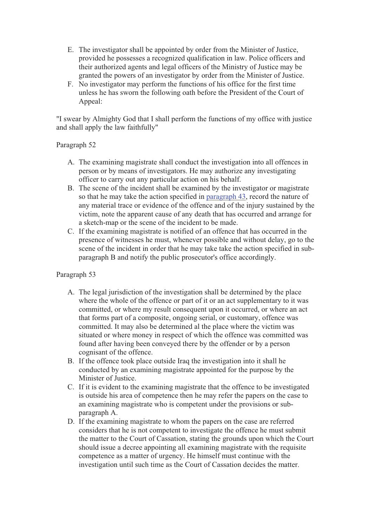- E. The investigator shall be appointed by order from the Minister of Justice, provided he possesses a recognized qualification in law. Police officers and their authorized agents and legal officers of the Ministry of Justice may be granted the powers of an investigator by order from the Minister of Justice.
- F. No investigator may perform the functions of his office for the first time unless he has sworn the following oath before the President of the Court of Appeal:

"I swear by Almighty God that I shall perform the functions of my office with justice and shall apply the law faithfully"

# Paragraph 52

- A. The examining magistrate shall conduct the investigation into all offences in person or by means of investigators. He may authorize any investigating officer to carry out any particular action on his behalf.
- B. The scene of the incident shall be examined by the investigator or magistrate so that he may take the action specified in paragraph 43, record the nature of any material trace or evidence of the offence and of the injury sustained by the victim, note the apparent cause of any death that has occurred and arrange for a sketch-map or the scene of the incident to be made.
- C. If the examining magistrate is notified of an offence that has occurred in the presence of witnesses he must, whenever possible and without delay, go to the scene of the incident in order that he may take take the action specified in subparagraph B and notify the public prosecutor's office accordingly.

- A. The legal jurisdiction of the investigation shall be determined by the place where the whole of the offence or part of it or an act supplementary to it was committed, or where my result consequent upon it occurred, or where an act that forms part of a composite, ongoing serial, or customary, offence was committed. It may also be determined al the place where the victim was situated or where money in respect of which the offence was committed was found after having been conveyed there by the offender or by a person cognisant of the offence.
- B. If the offence took place outside Iraq the investigation into it shall he conducted by an examining magistrate appointed for the purpose by the Minister of Justice.
- C. If it is evident to the examining magistrate that the offence to be investigated is outside his area of competence then he may refer the papers on the case to an examining magistrate who is competent under the provisions or subparagraph A.
- D. If the examining magistrate to whom the papers on the case are referred considers that he is not competent to investigate the offence he must submit the matter to the Court of Cassation, stating the grounds upon which the Court should issue a decree appointing all examining magistrate with the requisite competence as a matter of urgency. He himself must continue with the investigation until such time as the Court of Cassation decides the matter.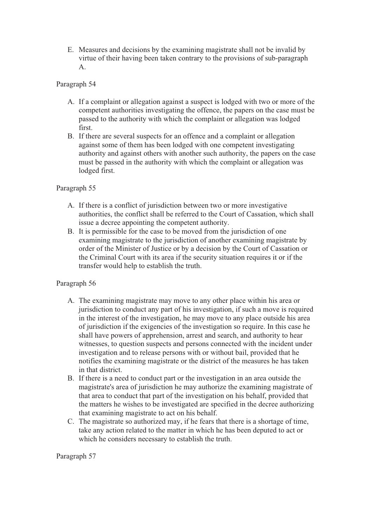E. Measures and decisions by the examining magistrate shall not be invalid by virtue of their having been taken contrary to the provisions of sub-paragraph A.

# Paragraph 54

- A. If a complaint or allegation against a suspect is lodged with two or more of the competent authorities investigating the offence, the papers on the case must be passed to the authority with which the complaint or allegation was lodged first.
- B. If there are several suspects for an offence and a complaint or allegation against some of them has been lodged with one competent investigating authority and against others with another such authority, the papers on the case must be passed in the authority with which the complaint or allegation was lodged first.

## Paragraph 55

- A. If there is a conflict of jurisdiction between two or more investigative authorities, the conflict shall be referred to the Court of Cassation, which shall issue a decree appointing the competent authority.
- B. It is permissible for the case to be moved from the jurisdiction of one examining magistrate to the jurisdiction of another examining magistrate by order of the Minister of Justice or by a decision by the Court of Cassation or the Criminal Court with its area if the security situation requires it or if the transfer would help to establish the truth.

#### Paragraph 56

- A. The examining magistrate may move to any other place within his area or jurisdiction to conduct any part of his investigation, if such a move is required in the interest of the investigation, he may move to any place outside his area of jurisdiction if the exigencies of the investigation so require. In this case he shall have powers of apprehension, arrest and search, and authority to hear witnesses, to question suspects and persons connected with the incident under investigation and to release persons with or without bail, provided that he notifies the examining magistrate or the district of the measures he has taken in that district.
- B. If there is a need to conduct part or the investigation in an area outside the magistrate's area of jurisdiction he may authorize the examining magistrate of that area to conduct that part of the investigation on his behalf, provided that the matters he wishes to be investigated are specified in the decree authorizing that examining magistrate to act on his behalf.
- C. The magistrate so authorized may, if he fears that there is a shortage of time, take any action related to the matter in which he has been deputed to act or which he considers necessary to establish the truth.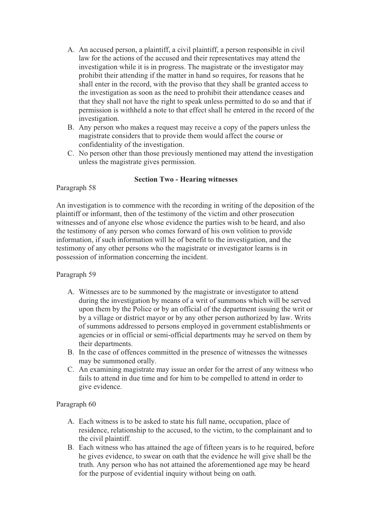- A. An accused person, a plaintiff, a civil plaintiff, a person responsible in civil law for the actions of the accused and their representatives may attend the investigation while it is in progress. The magistrate or the investigator may prohibit their attending if the matter in hand so requires, for reasons that he shall enter in the record, with the proviso that they shall be granted access to the investigation as soon as the need to prohibit their attendance ceases and that they shall not have the right to speak unless permitted to do so and that if permission is withheld a note to that effect shall he entered in the record of the investigation.
- B. Any person who makes a request may receive a copy of the papers unless the magistrate considers that to provide them would affect the course or confidentiality of the investigation.
- C. No person other than those previously mentioned may attend the investigation unless the magistrate gives permission.

## **Section Two - Hearing witnesses**

#### Paragraph 58

An investigation is to commence with the recording in writing of the deposition of the plaintiff or informant, then of the testimony of the victim and other prosecution witnesses and of anyone else whose evidence the parties wish to be heard, and also the testimony of any person who comes forward of his own volition to provide information, if such information will he of benefit to the investigation, and the testimony of any other persons who the magistrate or investigator learns is in possession of information concerning the incident.

#### Paragraph 59

- A. Witnesses are to be summoned by the magistrate or investigator to attend during the investigation by means of a writ of summons which will be served upon them by the Police or by an official of the department issuing the writ or by a village or district mayor or by any other person authorized by law. Writs of summons addressed to persons employed in government establishments or agencies or in official or semi-official departments may he served on them by their departments.
- B. In the case of offences committed in the presence of witnesses the witnesses may be summoned orally.
- C. An examining magistrate may issue an order for the arrest of any witness who fails to attend in due time and for him to be compelled to attend in order to give evidence.

- A. Each witness is to be asked to state his full name, occupation, place of residence, relationship to the accused, to the victim, to the complainant and to the civil plaintiff.
- B. Each witness who has attained the age of fifteen years is to he required, before he gives evidence, to swear on oath that the evidence he will give shall be the truth. Any person who has not attained the aforementioned age may be heard for the purpose of evidential inquiry without being on oath.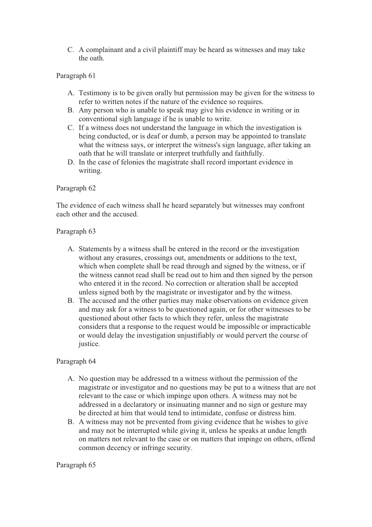C. A complainant and a civil plaintiff may be heard as witnesses and may take the oath.

# Paragraph 61

- A. Testimony is to be given orally but permission may be given for the witness to refer to written notes if the nature of the evidence so requires.
- B. Any person who is unable to speak may give his evidence in writing or in conventional sigh language if he is unable to write.
- C. If a witness does not understand the language in which the investigation is being conducted, or is deaf or dumb, a person may be appointed to translate what the witness says, or interpret the witness's sign language, after taking an oath that he will translate or interpret truthfully and faithfully.
- D. In the case of felonies the magistrate shall record important evidence in writing.

## Paragraph 62

The evidence of each witness shall he heard separately but witnesses may confront each other and the accused.

## Paragraph 63

- A. Statements by a witness shall be entered in the record or the investigation without any erasures, crossings out, amendments or additions to the text, which when complete shall be read through and signed by the witness, or if the witness cannot read shall be read out to him and then signed by the person who entered it in the record. No correction or alteration shall be accepted unless signed both by the magistrate or investigator and by the witness.
- B. The accused and the other parties may make observations on evidence given and may ask for a witness to be questioned again, or for other witnesses to be questioned about other facts to which they refer, unless the magistrate considers that a response to the request would be impossible or impracticable or would delay the investigation unjustifiably or would pervert the course of justice.

#### Paragraph 64

- A. No question may be addressed tn a witness without the permission of the magistrate or investigator and no questions may be put to a witness that are not relevant to the case or which impinge upon others. A witness may not be addressed in a declaratory or insinuating manner and no sign or gesture may be directed at him that would tend to intimidate, confuse or distress him.
- B. A witness may not be prevented from giving evidence that he wishes to give and may not be interrupted while giving it, unless he speaks at undue length on matters not relevant to the case or on matters that impinge on others, offend common decency or infringe security.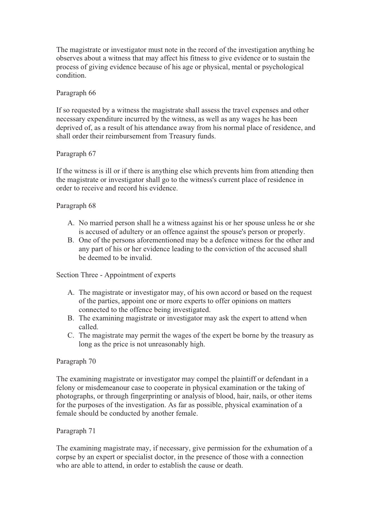The magistrate or investigator must note in the record of the investigation anything he observes about a witness that may affect his fitness to give evidence or to sustain the process of giving evidence because of his age or physical, mental or psychological condition.

## Paragraph 66

If so requested by a witness the magistrate shall assess the travel expenses and other necessary expenditure incurred by the witness, as well as any wages he has been deprived of, as a result of his attendance away from his normal place of residence, and shall order their reimbursement from Treasury funds.

## Paragraph 67

If the witness is ill or if there is anything else which prevents him from attending then the magistrate or investigator shall go to the witness's current place of residence in order to receive and record his evidence.

## Paragraph 68

- A. No married person shall he a witness against his or her spouse unless he or she is accused of adultery or an offence against the spouse's person or properly.
- B. One of the persons aforementioned may be a defence witness for the other and any part of his or her evidence leading to the conviction of the accused shall be deemed to be invalid.

Section Three - Appointment of experts

- A. The magistrate or investigator may, of his own accord or based on the request of the parties, appoint one or more experts to offer opinions on matters connected to the offence being investigated.
- B. The examining magistrate or investigator may ask the expert to attend when called.
- C. The magistrate may permit the wages of the expert be borne by the treasury as long as the price is not unreasonably high.

#### Paragraph 70

The examining magistrate or investigator may compel the plaintiff or defendant in a felony or misdemeanour case to cooperate in physical examination or the taking of photographs, or through fingerprinting or analysis of blood, hair, nails, or other items for the purposes of the investigation. As far as possible, physical examination of a female should be conducted by another female.

#### Paragraph 71

The examining magistrate may, if necessary, give permission for the exhumation of a corpse by an expert or specialist doctor, in the presence of those with a connection who are able to attend, in order to establish the cause or death.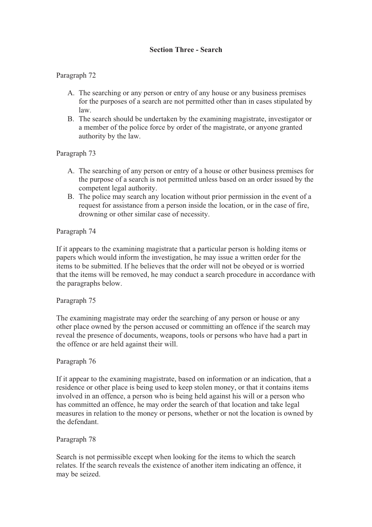# **Section Three - Search**

# Paragraph 72

- A. The searching or any person or entry of any house or any business premises for the purposes of a search are not permitted other than in cases stipulated by law.
- B. The search should be undertaken by the examining magistrate, investigator or a member of the police force by order of the magistrate, or anyone granted authority by the law.

# Paragraph 73

- A. The searching of any person or entry of a house or other business premises for the purpose of a search is not permitted unless based on an order issued by the competent legal authority.
- B. The police may search any location without prior permission in the event of a request for assistance from a person inside the location, or in the case of fire, drowning or other similar case of necessity.

# Paragraph 74

If it appears to the examining magistrate that a particular person is holding items or papers which would inform the investigation, he may issue a written order for the items to be submitted. If he believes that the order will not be obeyed or is worried that the items will be removed, he may conduct a search procedure in accordance with the paragraphs below.

# Paragraph 75

The examining magistrate may order the searching of any person or house or any other place owned by the person accused or committing an offence if the search may reveal the presence of documents, weapons, tools or persons who have had a part in the offence or are held against their will.

# Paragraph 76

If it appear to the examining magistrate, based on information or an indication, that a residence or other place is being used to keep stolen money, or that it contains items involved in an offence, a person who is being held against his will or a person who has committed an offence, he may order the search of that location and take legal measures in relation to the money or persons, whether or not the location is owned by the defendant.

# Paragraph 78

Search is not permissible except when looking for the items to which the search relates. If the search reveals the existence of another item indicating an offence, it may be seized.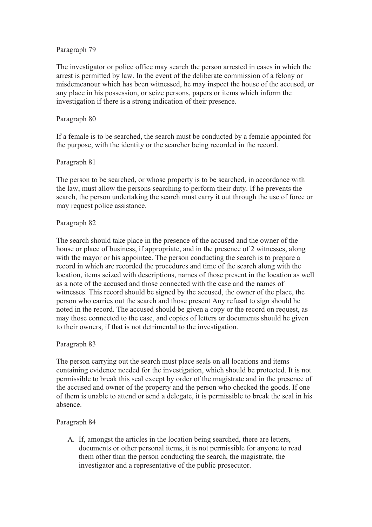The investigator or police office may search the person arrested in cases in which the arrest is permitted by law. In the event of the deliberate commission of a felony or misdemeanour which has been witnessed, he may inspect the house of the accused, or any place in his possession, or seize persons, papers or items which inform the investigation if there is a strong indication of their presence.

## Paragraph 80

If a female is to be searched, the search must be conducted by a female appointed for the purpose, with the identity or the searcher being recorded in the record.

## Paragraph 81

The person to be searched, or whose property is to be searched, in accordance with the law, must allow the persons searching to perform their duty. If he prevents the search, the person undertaking the search must carry it out through the use of force or may request police assistance.

## Paragraph 82

The search should take place in the presence of the accused and the owner of the house or place of business, if appropriate, and in the presence of 2 witnesses, along with the mayor or his appointee. The person conducting the search is to prepare a record in which are recorded the procedures and time of the search along with the location, items seized with descriptions, names of those present in the location as well as a note of the accused and those connected with the case and the names of witnesses. This record should be signed by the accused, the owner of the place, the person who carries out the search and those present Any refusal to sign should he noted in the record. The accused should be given a copy or the record on request, as may those connected to the case, and copies of letters or documents should he given to their owners, if that is not detrimental to the investigation.

# Paragraph 83

The person carrying out the search must place seals on all locations and items containing evidence needed for the investigation, which should be protected. It is not permissible to break this seal except by order of the magistrate and in the presence of the accused and owner of the property and the person who checked the goods. If one of them is unable to attend or send a delegate, it is permissible to break the seal in his absence.

# Paragraph 84

A. If, amongst the articles in the location being searched, there are letters, documents or other personal items, it is not permissible for anyone to read them other than the person conducting the search, the magistrate, the investigator and a representative of the public prosecutor.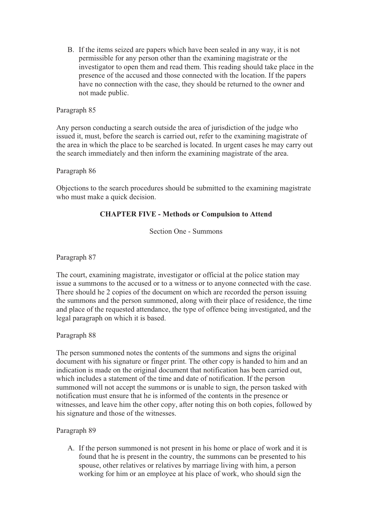B. If the items seized are papers which have been sealed in any way, it is not permissible for any person other than the examining magistrate or the investigator to open them and read them. This reading should take place in the presence of the accused and those connected with the location. If the papers have no connection with the case, they should be returned to the owner and not made public.

## Paragraph 85

Any person conducting a search outside the area of jurisdiction of the judge who issued it, must, before the search is carried out, refer to the examining magistrate of the area in which the place to be searched is located. In urgent cases he may carry out the search immediately and then inform the examining magistrate of the area.

Paragraph 86

Objections to the search procedures should be submitted to the examining magistrate who must make a quick decision.

## **CHAPTER FIVE - Methods or Compulsion to Attend**

Section One - Summons

Paragraph 87

The court, examining magistrate, investigator or official at the police station may issue a summons to the accused or to a witness or to anyone connected with the case. There should he 2 copies of the document on which are recorded the person issuing the summons and the person summoned, along with their place of residence, the time and place of the requested attendance, the type of offence being investigated, and the legal paragraph on which it is based.

Paragraph 88

The person summoned notes the contents of the summons and signs the original document with his signature or finger print. The other copy is handed to him and an indication is made on the original document that notification has been carried out, which includes a statement of the time and date of notification. If the person summoned will not accept the summons or is unable to sign, the person tasked with notification must ensure that he is informed of the contents in the presence or witnesses, and leave him the other copy, after noting this on both copies, followed by his signature and those of the witnesses.

Paragraph 89

A. If the person summoned is not present in his home or place of work and it is found that he is present in the country, the summons can be presented to his spouse, other relatives or relatives by marriage living with him, a person working for him or an employee at his place of work, who should sign the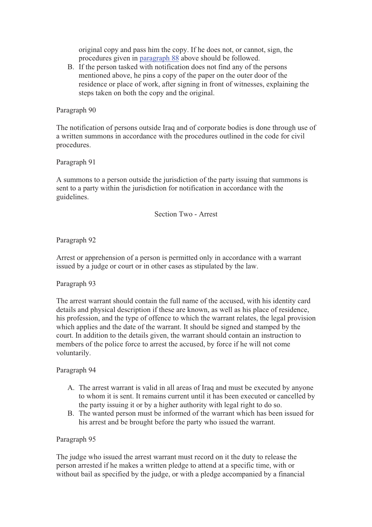original copy and pass him the copy. If he does not, or cannot, sign, the procedures given in paragraph 88 above should be followed.

B. If the person tasked with notification does not find any of the persons mentioned above, he pins a copy of the paper on the outer door of the residence or place of work, after signing in front of witnesses, explaining the steps taken on both the copy and the original.

#### Paragraph 90

The notification of persons outside Iraq and of corporate bodies is done through use of a written summons in accordance with the procedures outlined in the code for civil procedures.

Paragraph 91

A summons to a person outside the jurisdiction of the party issuing that summons is sent to a party within the jurisdiction for notification in accordance with the guidelines.

Section Two - Arrest

Paragraph 92

Arrest or apprehension of a person is permitted only in accordance with a warrant issued by a judge or court or in other cases as stipulated by the law.

Paragraph 93

The arrest warrant should contain the full name of the accused, with his identity card details and physical description if these are known, as well as his place of residence, his profession, and the type of offence to which the warrant relates, the legal provision which applies and the date of the warrant. It should be signed and stamped by the court. In addition to the details given, the warrant should contain an instruction to members of the police force to arrest the accused, by force if he will not come voluntarily.

#### Paragraph 94

- A. The arrest warrant is valid in all areas of Iraq and must be executed by anyone to whom it is sent. It remains current until it has been executed or cancelled by the party issuing it or by a higher authority with legal right to do so.
- B. The wanted person must be informed of the warrant which has been issued for his arrest and be brought before the party who issued the warrant.

#### Paragraph 95

The judge who issued the arrest warrant must record on it the duty to release the person arrested if he makes a written pledge to attend at a specific time, with or without bail as specified by the judge, or with a pledge accompanied by a financial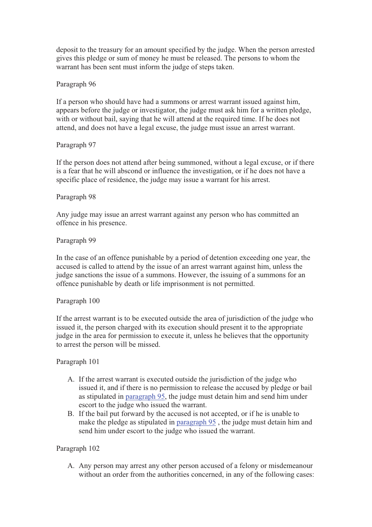deposit to the treasury for an amount specified by the judge. When the person arrested gives this pledge or sum of money he must be released. The persons to whom the warrant has been sent must inform the judge of steps taken.

## Paragraph 96

If a person who should have had a summons or arrest warrant issued against him, appears before the judge or investigator, the judge must ask him for a written pledge, with or without bail, saying that he will attend at the required time. If he does not attend, and does not have a legal excuse, the judge must issue an arrest warrant.

## Paragraph 97

If the person does not attend after being summoned, without a legal excuse, or if there is a fear that he will abscond or influence the investigation, or if he does not have a specific place of residence, the judge may issue a warrant for his arrest.

## Paragraph 98

Any judge may issue an arrest warrant against any person who has committed an offence in his presence.

## Paragraph 99

In the case of an offence punishable by a period of detention exceeding one year, the accused is called to attend by the issue of an arrest warrant against him, unless the judge sanctions the issue of a summons. However, the issuing of a summons for an offence punishable by death or life imprisonment is not permitted.

#### Paragraph 100

If the arrest warrant is to be executed outside the area of jurisdiction of the judge who issued it, the person charged with its execution should present it to the appropriate judge in the area for permission to execute it, unless he believes that the opportunity to arrest the person will be missed.

#### Paragraph 101

- A. If the arrest warrant is executed outside the jurisdiction of the judge who issued it, and if there is no permission to release the accused by pledge or bail as stipulated in paragraph 95, the judge must detain him and send him under escort to the judge who issued the warrant.
- B. If the bail put forward by the accused is not accepted, or if he is unable to make the pledge as stipulated in paragraph 95 , the judge must detain him and send him under escort to the judge who issued the warrant.

#### Paragraph 102

A. Any person may arrest any other person accused of a felony or misdemeanour without an order from the authorities concerned, in any of the following cases: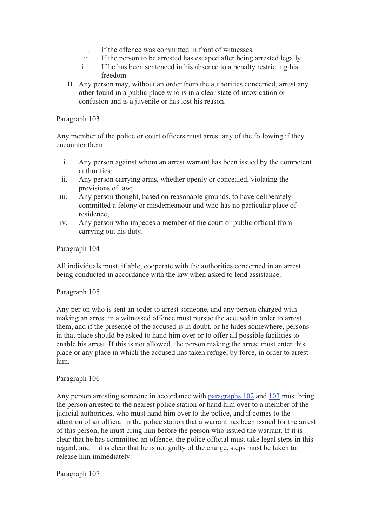- i. If the offence was committed in front of witnesses.
- ii. If the person to be arrested has escaped after being arrested legally.
- iii. If he has been sentenced in his absence to a penalty restricting his freedom.
- B. Any person may, without an order from the authorities concerned, arrest any other found in a public place who is in a clear state of intoxication or confusion and is a juvenile or has lost his reason.

Any member of the police or court officers must arrest any of the following if they encounter them:

- i. Any person against whom an arrest warrant has been issued by the competent authorities;
- ii. Any person carrying arms, whether openly or concealed, violating the provisions of law;
- iii. Any person thought, based on reasonable grounds, to have deliberately committed a felony or misdemeanour and who has no particular place of residence;
- iv. Any person who impedes a member of the court or public official from carrying out his duty.

#### Paragraph 104

All individuals must, if able, cooperate with the authorities concerned in an arrest being conducted in accordance with the law when asked to lend assistance.

#### Paragraph 105

Any per on who is sent an order to arrest someone, and any person charged with making an arrest in a witnessed offence must pursue the accused in order to arrest them, and if the presence of the accused is in doubt, or he hides somewhere, persons in that place should be asked to hand him over or to offer all possible facilities to enable his arrest. If this is not allowed, the person making the arrest must enter this place or any place in which the accused has taken refuge, by force, in order to arrest him.

#### Paragraph 106

Any person arresting someone in accordance with paragraphs 102 and 103 must bring the person arrested to the nearest police station or hand him over to a member of the judicial authorities, who must hand him over to the police, and if comes to the attention of an official in the police station that a warrant has been issued for the arrest of this person, he must bring him before the person who issued the warrant. If it is clear that he has committed an offence, the police official must take legal steps in this regard, and if it is clear that he is not guilty of the charge, steps must be taken to release him immediately.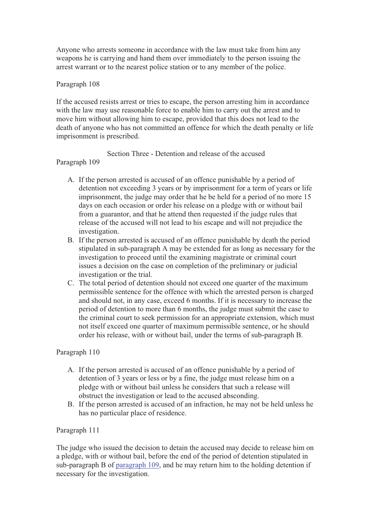Anyone who arrests someone in accordance with the law must take from him any weapons he is carrying and hand them over immediately to the person issuing the arrest warrant or to the nearest police station or to any member of the police.

## Paragraph 108

If the accused resists arrest or tries to escape, the person arresting him in accordance with the law may use reasonable force to enable him to carry out the arrest and to move him without allowing him to escape, provided that this does not lead to the death of anyone who has not committed an offence for which the death penalty or life imprisonment is prescribed.

## Section Three - Detention and release of the accused

## Paragraph 109

- A. If the person arrested is accused of an offence punishable by a period of detention not exceeding 3 years or by imprisonment for a term of years or life imprisonment, the judge may order that he be held for a period of no more 15 days on each occasion or order his release on a pledge with or without bail from a guarantor, and that he attend then requested if the judge rules that release of the accused will not lead to his escape and will not prejudice the investigation.
- B. If the person arrested is accused of an offence punishable by death the period stipulated in sub-paragraph A may be extended for as long as necessary for the investigation to proceed until the examining magistrate or criminal court issues a decision on the case on completion of the preliminary or judicial investigation or the trial.
- C. The total period of detention should not exceed one quarter of the maximum permissible sentence for the offence with which the arrested person is charged and should not, in any case, exceed 6 months. If it is necessary to increase the period of detention to more than 6 months, the judge must submit the case to the criminal court to seek permission for an appropriate extension, which must not itself exceed one quarter of maximum permissible sentence, or he should order his release, with or without bail, under the terms of sub-paragraph B.

# Paragraph 110

- A. If the person arrested is accused of an offence punishable by a period of detention of 3 years or less or by a fine, the judge must release him on a pledge with or without bail unless he considers that such a release will obstruct the investigation or lead to the accused absconding.
- B. If the person arrested is accused of an infraction, he may not be held unless he has no particular place of residence.

# Paragraph 111

The judge who issued the decision to detain the accused may decide to release him on a pledge, with or without bail, before the end of the period of detention stipulated in sub-paragraph B of paragraph 109, and he may return him to the holding detention if necessary for the investigation.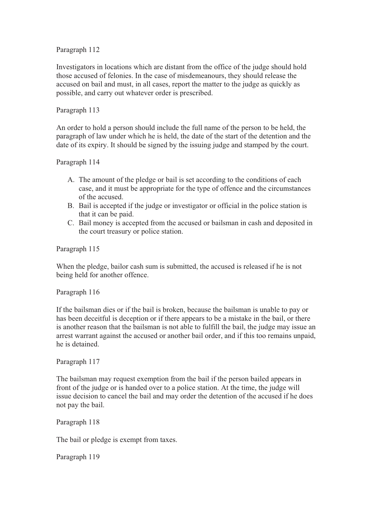Investigators in locations which are distant from the office of the judge should hold those accused of felonies. In the case of misdemeanours, they should release the accused on bail and must, in all cases, report the matter to the judge as quickly as possible, and carry out whatever order is prescribed.

## Paragraph 113

An order to hold a person should include the full name of the person to be held, the paragraph of law under which he is held, the date of the start of the detention and the date of its expiry. It should be signed by the issuing judge and stamped by the court.

Paragraph 114

- A. The amount of the pledge or bail is set according to the conditions of each case, and it must be appropriate for the type of offence and the circumstances of the accused.
- B. Bail is accepted if the judge or investigator or official in the police station is that it can be paid.
- C. Bail money is accepted from the accused or bailsman in cash and deposited in the court treasury or police station.

Paragraph 115

When the pledge, bailor cash sum is submitted, the accused is released if he is not being held for another offence.

Paragraph 116

If the bailsman dies or if the bail is broken, because the bailsman is unable to pay or has been deceitful is deception or if there appears to be a mistake in the bail, or there is another reason that the bailsman is not able to fulfill the bail, the judge may issue an arrest warrant against the accused or another bail order, and if this too remains unpaid, he is detained.

Paragraph 117

The bailsman may request exemption from the bail if the person bailed appears in front of the judge or is handed over to a police station. At the time, the judge will issue decision to cancel the bail and may order the detention of the accused if he does not pay the bail.

Paragraph 118

The bail or pledge is exempt from taxes.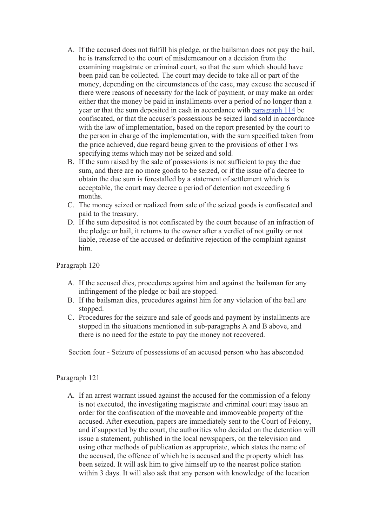- A. If the accused does not fulfill his pledge, or the bailsman does not pay the bail, he is transferred to the court of misdemeanour on a decision from the examining magistrate or criminal court, so that the sum which should have been paid can be collected. The court may decide to take all or part of the money, depending on the circumstances of the case, may excuse the accused if there were reasons of necessity for the lack of payment, or may make an order either that the money be paid in installments over a period of no longer than a year or that the sum deposited in cash in accordance with paragraph 114 be confiscated, or that the accuser's possessions be seized land sold in accordance with the law of implementation, based on the report presented by the court to the person in charge of the implementation, with the sum specified taken from the price achieved, due regard being given to the provisions of other I ws specifying items which may not be seized and sold.
- B. If the sum raised by the sale of possessions is not sufficient to pay the due sum, and there are no more goods to be seized, or if the issue of a decree to obtain the due sum is forestalled by a statement of settlement which is acceptable, the court may decree a period of detention not exceeding 6 months.
- C. The money seized or realized from sale of the seized goods is confiscated and paid to the treasury.
- D. If the sum deposited is not confiscated by the court because of an infraction of the pledge or bail, it returns to the owner after a verdict of not guilty or not liable, release of the accused or definitive rejection of the complaint against him.

- A. If the accused dies, procedures against him and against the bailsman for any infringement of the pledge or bail are stopped.
- B. If the bailsman dies, procedures against him for any violation of the bail are stopped.
- C. Procedures for the seizure and sale of goods and payment by installments are stopped in the situations mentioned in sub-paragraphs A and B above, and there is no need for the estate to pay the money not recovered.

Section four - Seizure of possessions of an accused person who has absconded

# Paragraph 121

A. If an arrest warrant issued against the accused for the commission of a felony is not executed, the investigating magistrate and criminal court may issue an order for the confiscation of the moveable and immoveable property of the accused. After execution, papers are immediately sent to the Court of Felony, and if supported by the court, the authorities who decided on the detention will issue a statement, published in the local newspapers, on the television and using other methods of publication as appropriate, which states the name of the accused, the offence of which he is accused and the property which has been seized. It will ask him to give himself up to the nearest police station within 3 days. It will also ask that any person with knowledge of the location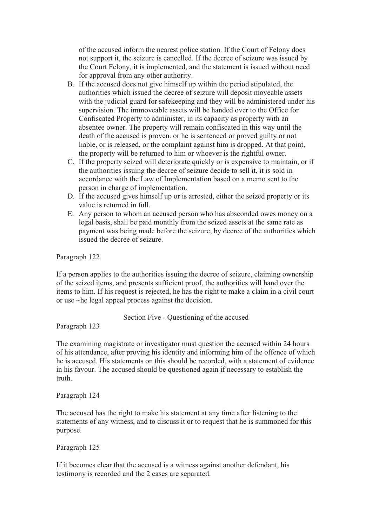of the accused inform the nearest police station. If the Court of Felony does not support it, the seizure is cancelled. If the decree of seizure was issued by the Court Felony, it is implemented, and the statement is issued without need for approval from any other authority.

- B. If the accused does not give himself up within the period stipulated, the authorities which issued the decree of seizure will deposit moveable assets with the judicial guard for safekeeping and they will be administered under his supervision. The immoveable assets will be handed over to the Office for Confiscated Property to administer, in its capacity as property with an absentee owner. The property will remain confiscated in this way until the death of the accused is proven. or he is sentenced or proved guilty or not liable, or is released, or the complaint against him is dropped. At that point, the property will be returned to him or whoever is the rightful owner.
- C. If the property seized will deteriorate quickly or is expensive to maintain, or if the authorities issuing the decree of seizure decide to sell it, it is sold in accordance with the Law of Implementation based on a memo sent to the person in charge of implementation.
- D. If the accused gives himself up or is arrested, either the seized property or its value is returned in full.
- E. Any person to whom an accused person who has absconded owes money on a legal basis, shall be paid monthly from the seized assets at the same rate as payment was being made before the seizure, by decree of the authorities which issued the decree of seizure.

Paragraph 122

If a person applies to the authorities issuing the decree of seizure, claiming ownership of the seized items, and presents sufficient proof, the authorities will hand over the items to him. If his request is rejected, he has the right to make a claim in a civil court or use ~he legal appeal process against the decision.

Section Five - Questioning of the accused

Paragraph 123

The examining magistrate or investigator must question the accused within 24 hours of his attendance, after proving his identity and informing him of the offence of which he is accused. His statements on this should be recorded, with a statement of evidence in his favour. The accused should be questioned again if necessary to establish the truth.

Paragraph 124

The accused has the right to make his statement at any time after listening to the statements of any witness, and to discuss it or to request that he is summoned for this purpose.

Paragraph 125

If it becomes clear that the accused is a witness against another defendant, his testimony is recorded and the 2 cases are separated.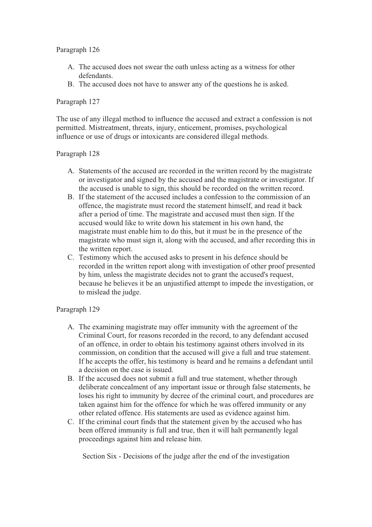- A. The accused does not swear the oath unless acting as a witness for other defendants.
- B. The accused does not have to answer any of the questions he is asked.

## Paragraph 127

The use of any illegal method to influence the accused and extract a confession is not permitted. Mistreatment, threats, injury, enticement, promises, psychological influence or use of drugs or intoxicants are considered illegal methods.

## Paragraph 128

- A. Statements of the accused are recorded in the written record by the magistrate or investigator and signed by the accused and the magistrate or investigator. If the accused is unable to sign, this should be recorded on the written record.
- B. If the statement of the accused includes a confession to the commission of an offence, the magistrate must record the statement himself, and read it back after a period of time. The magistrate and accused must then sign. If the accused would like to write down his statement in his own hand, the magistrate must enable him to do this, but it must be in the presence of the magistrate who must sign it, along with the accused, and after recording this in the written report.
- C. Testimony which the accused asks to present in his defence should be recorded in the written report along with investigation of other proof presented by him, unless the magistrate decides not to grant the accused's request, because he believes it be an unjustified attempt to impede the investigation, or to mislead the judge.

#### Paragraph 129

- A. The examining magistrate may offer immunity with the agreement of the Criminal Court, for reasons recorded in the record, to any defendant accused of an offence, in order to obtain his testimony against others involved in its commission, on condition that the accused will give a full and true statement. If he accepts the offer, his testimony is heard and he remains a defendant until a decision on the case is issued.
- B. If the accused does not submit a full and true statement, whether through deliberate concealment of any important issue or through false statements, he loses his right to immunity by decree of the criminal court, and procedures are taken against him for the offence for which he was offered immunity or any other related offence. His statements are used as evidence against him.
- C. If the criminal court finds that the statement given by the accused who has been offered immunity is full and true, then it will halt permanently legal proceedings against him and release him.

Section Six - Decisions of the judge after the end of the investigation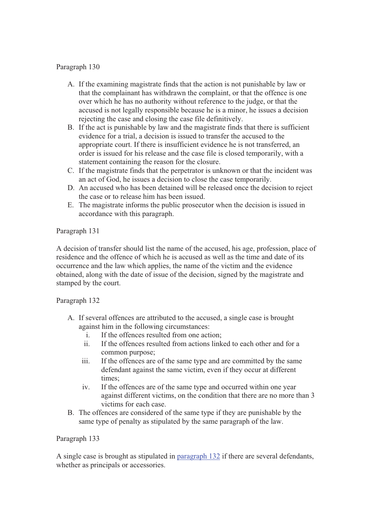- A. If the examining magistrate finds that the action is not punishable by law or that the complainant has withdrawn the complaint, or that the offence is one over which he has no authority without reference to the judge, or that the accused is not legally responsible because he is a minor, he issues a decision rejecting the case and closing the case file definitively.
- B. If the act is punishable by law and the magistrate finds that there is sufficient evidence for a trial, a decision is issued to transfer the accused to the appropriate court. If there is insufficient evidence he is not transferred, an order is issued for his release and the case file is closed temporarily, with a statement containing the reason for the closure.
- C. If the magistrate finds that the perpetrator is unknown or that the incident was an act of God, he issues a decision to close the case temporarily.
- D. An accused who has been detained will be released once the decision to reject the case or to release him has been issued.
- E. The magistrate informs the public prosecutor when the decision is issued in accordance with this paragraph.

## Paragraph 131

A decision of transfer should list the name of the accused, his age, profession, place of residence and the offence of which he is accused as well as the time and date of its occurrence and the law which applies, the name of the victim and the evidence obtained, along with the date of issue of the decision, signed by the magistrate and stamped by the court.

#### Paragraph 132

- A. If several offences are attributed to the accused, a single case is brought against him in the following circumstances:
	- i. If the offences resulted from one action;
	- ii. If the offences resulted from actions linked to each other and for a common purpose;
	- iii. If the offences are of the same type and are committed by the same defendant against the same victim, even if they occur at different times;
	- iv. If the offences are of the same type and occurred within one year against different victims, on the condition that there are no more than 3 victims for each case.
- B. The offences are considered of the same type if they are punishable by the same type of penalty as stipulated by the same paragraph of the law.

#### Paragraph 133

A single case is brought as stipulated in paragraph 132 if there are several defendants, whether as principals or accessories.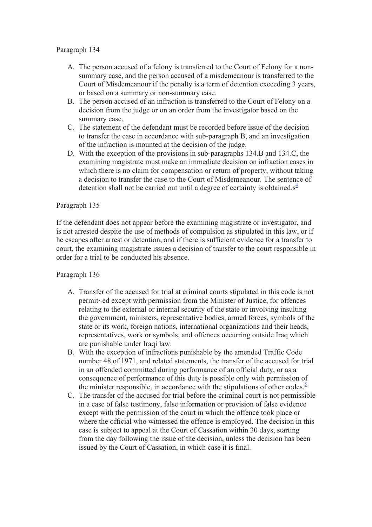- A. The person accused of a felony is transferred to the Court of Felony for a nonsummary case, and the person accused of a misdemeanour is transferred to the Court of Misdemeanour if the penalty is a term of detention exceeding 3 years, or based on a summary or non-summary case.
- B. The person accused of an infraction is transferred to the Court of Felony on a decision from the judge or on an order from the investigator based on the summary case.
- C. The statement of the defendant must be recorded before issue of the decision to transfer the case in accordance with sub-paragraph B, and an investigation of the infraction is mounted at the decision of the judge.
- D. With the exception of the provisions in sub-paragraphs 134.B and 134.C, the examining magistrate must make an immediate decision on infraction cases in which there is no claim for compensation or return of property, without taking a decision to transfer the case to the Court of Misdemeanour. The sentence of detention shall not be carried out until a degree of certainty is obtained. $s^4$

## Paragraph 135

If the defendant does not appear before the examining magistrate or investigator, and is not arrested despite the use of methods of compulsion as stipulated in this law, or if he escapes after arrest or detention, and if there is sufficient evidence for a transfer to court, the examining magistrate issues a decision of transfer to the court responsible in order for a trial to be conducted his absence.

- A. Transfer of the accused for trial at criminal courts stipulated in this code is not permit~ed except with permission from the Minister of Justice, for offences relating to the external or internal security of the state or involving insulting the government, ministers, representative bodies, armed forces, symbols of the state or its work, foreign nations, international organizations and their heads, representatives, work or symbols, and offences occurring outside Iraq which are punishable under Iraqi law.
- B. With the exception of infractions punishable by the amended Traffic Code number 48 of 1971, and related statements, the transfer of the accused for trial in an offended committed during performance of an official duty, or as a consequence of performance of this duty is possible only with permission of the minister responsible, in accordance with the stipulations of other codes.<sup>5</sup>
- C. The transfer of the accused for trial before the criminal court is not permissible in a case of false testimony, false information or provision of false evidence except with the permission of the court in which the offence took place or where the official who witnessed the offence is employed. The decision in this case is subject to appeal at the Court of Cassation within 30 days, starting from the day following the issue of the decision, unless the decision has been issued by the Court of Cassation, in which case it is final.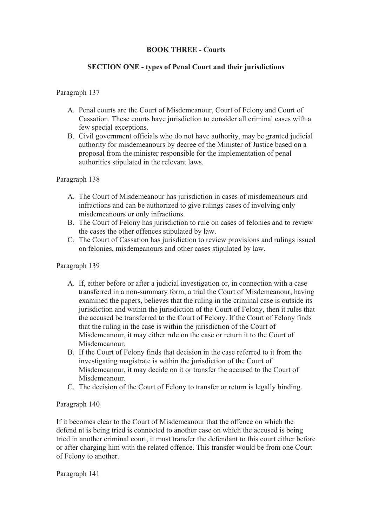## **BOOK THREE - Courts**

## **SECTION ONE - types of Penal Court and their jurisdictions**

## Paragraph 137

- A. Penal courts are the Court of Misdemeanour, Court of Felony and Court of Cassation. These courts have jurisdiction to consider all criminal cases with a few special exceptions.
- B. Civil government officials who do not have authority, may be granted judicial authority for misdemeanours by decree of the Minister of Justice based on a proposal from the minister responsible for the implementation of penal authorities stipulated in the relevant laws.

#### Paragraph 138

- A. The Court of Misdemeanour has jurisdiction in cases of misdemeanours and infractions and can be authorized to give rulings cases of involving only misdemeanours or only infractions.
- B. The Court of Felony has jurisdiction to rule on cases of felonies and to review the cases the other offences stipulated by law.
- C. The Court of Cassation has jurisdiction to review provisions and rulings issued on felonies, misdemeanours and other cases stipulated by law.

#### Paragraph 139

- A. If, either before or after a judicial investigation or, in connection with a case transferred in a non-summary form, a trial the Court of Misdemeanour, having examined the papers, believes that the ruling in the criminal case is outside its jurisdiction and within the jurisdiction of the Court of Felony, then it rules that the accused be transferred to the Court of Felony. If the Court of Felony finds that the ruling in the case is within the jurisdiction of the Court of Misdemeanour, it may either rule on the case or return it to the Court of Misdemeanour.
- B. If the Court of Felony finds that decision in the case referred to it from the investigating magistrate is within the jurisdiction of the Court of Misdemeanour, it may decide on it or transfer the accused to the Court of Misdemeanour.
- C. The decision of the Court of Felony to transfer or return is legally binding.

#### Paragraph 140

If it becomes clear to the Court of Misdemeanour that the offence on which the defend nt is being tried is connected to another case on which the accused is being tried in another criminal court, it must transfer the defendant to this court either before or after charging him with the related offence. This transfer would be from one Court of Felony to another.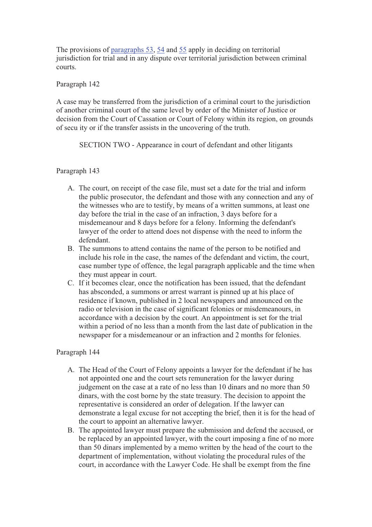The provisions of paragraphs 53, 54 and 55 apply in deciding on territorial jurisdiction for trial and in any dispute over territorial jurisdiction between criminal courts.

Paragraph 142

A case may be transferred from the jurisdiction of a criminal court to the jurisdiction of another criminal court of the same level by order of the Minister of Justice or decision from the Court of Cassation or Court of Felony within its region, on grounds of secu ity or if the transfer assists in the uncovering of the truth.

SECTION TWO - Appearance in court of defendant and other litigants

#### Paragraph 143

- A. The court, on receipt of the case file, must set a date for the trial and inform the public prosecutor, the defendant and those with any connection and any of the witnesses who are to testify, by means of a written summons, at least one day before the trial in the case of an infraction, 3 days before for a misdemeanour and 8 days before for a felony. Informing the defendant's lawyer of the order to attend does not dispense with the need to inform the defendant.
- B. The summons to attend contains the name of the person to be notified and include his role in the case, the names of the defendant and victim, the court, case number type of offence, the legal paragraph applicable and the time when they must appear in court.
- C. If it becomes clear, once the notification has been issued, that the defendant has absconded, a summons or arrest warrant is pinned up at his place of residence if known, published in 2 local newspapers and announced on the radio or television in the case of significant felonies or misdemeanours, in accordance with a decision by the court. An appointment is set for the trial within a period of no less than a month from the last date of publication in the newspaper for a misdemeanour or an infraction and 2 months for felonies.

- A. The Head of the Court of Felony appoints a lawyer for the defendant if he has not appointed one and the court sets remuneration for the lawyer during judgement on the case at a rate of no less than 10 dinars and no more than 50 dinars, with the cost borne by the state treasury. The decision to appoint the representative is considered an order of delegation. If the lawyer can demonstrate a legal excuse for not accepting the brief, then it is for the head of the court to appoint an alternative lawyer.
- B. The appointed lawyer must prepare the submission and defend the accused, or be replaced by an appointed lawyer, with the court imposing a fine of no more than 50 dinars implemented by a memo written by the head of the court to the department of implementation, without violating the procedural rules of the court, in accordance with the Lawyer Code. He shall be exempt from the fine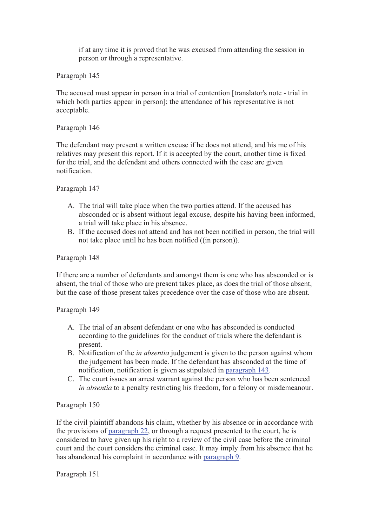if at any time it is proved that he was excused from attending the session in person or through a representative.

Paragraph 145

The accused must appear in person in a trial of contention [translator's note - trial in which both parties appear in person]; the attendance of his representative is not acceptable.

## Paragraph 146

The defendant may present a written excuse if he does not attend, and his me of his relatives may present this report. If it is accepted by the court, another time is fixed for the trial, and the defendant and others connected with the case are given notification.

## Paragraph 147

- A. The trial will take place when the two parties attend. If the accused has absconded or is absent without legal excuse, despite his having been informed, a trial will take place in his absence.
- B. If the accused does not attend and has not been notified in person, the trial will not take place until he has been notified ((in person)).

## Paragraph 148

If there are a number of defendants and amongst them is one who has absconded or is absent, the trial of those who are present takes place, as does the trial of those absent, but the case of those present takes precedence over the case of those who are absent.

#### Paragraph 149

- A. The trial of an absent defendant or one who has absconded is conducted according to the guidelines for the conduct of trials where the defendant is present.
- B. Notification of the *in absentia* judgement is given to the person against whom the judgement has been made. If the defendant has absconded at the time of notification, notification is given as stipulated in paragraph 143.
- C. The court issues an arrest warrant against the person who has been sentenced *in absentia* to a penalty restricting his freedom, for a felony or misdemeanour.

# Paragraph 150

If the civil plaintiff abandons his claim, whether by his absence or in accordance with the provisions of paragraph 22, or through a request presented to the court, he is considered to have given up his right to a review of the civil case before the criminal court and the court considers the criminal case. It may imply from his absence that he has abandoned his complaint in accordance with paragraph 9.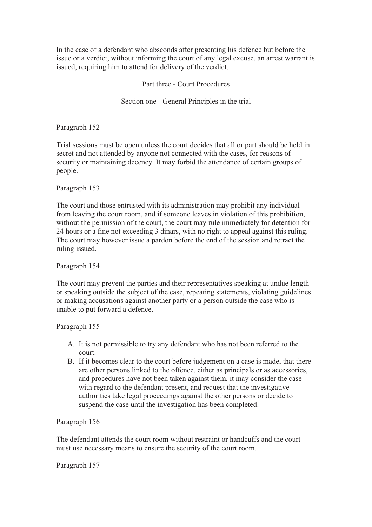In the case of a defendant who absconds after presenting his defence but before the issue or a verdict, without informing the court of any legal excuse, an arrest warrant is issued, requiring him to attend for delivery of the verdict.

Part three - Court Procedures

Section one - General Principles in the trial

Paragraph 152

Trial sessions must be open unless the court decides that all or part should be held in secret and not attended by anyone not connected with the cases, for reasons of security or maintaining decency. It may forbid the attendance of certain groups of people.

Paragraph 153

The court and those entrusted with its administration may prohibit any individual from leaving the court room, and if someone leaves in violation of this prohibition, without the permission of the court, the court may rule immediately for detention for 24 hours or a fine not exceeding 3 dinars, with no right to appeal against this ruling. The court may however issue a pardon before the end of the session and retract the ruling issued.

Paragraph 154

The court may prevent the parties and their representatives speaking at undue length or speaking outside the subject of the case, repeating statements, violating guidelines or making accusations against another party or a person outside the case who is unable to put forward a defence.

Paragraph 155

- A. It is not permissible to try any defendant who has not been referred to the court.
- B. If it becomes clear to the court before judgement on a case is made, that there are other persons linked to the offence, either as principals or as accessories, and procedures have not been taken against them, it may consider the case with regard to the defendant present, and request that the investigative authorities take legal proceedings against the other persons or decide to suspend the case until the investigation has been completed.

Paragraph 156

The defendant attends the court room without restraint or handcuffs and the court must use necessary means to ensure the security of the court room.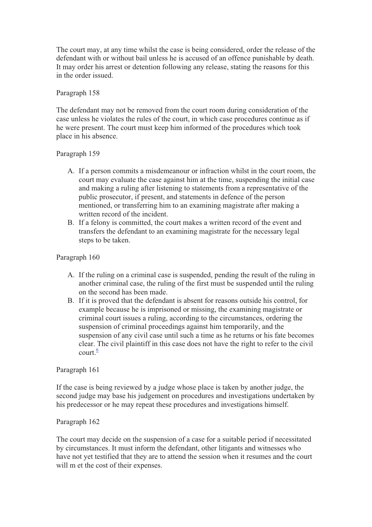The court may, at any time whilst the case is being considered, order the release of the defendant with or without bail unless he is accused of an offence punishable by death. It may order his arrest or detention following any release, stating the reasons for this in the order issued.

## Paragraph 158

The defendant may not be removed from the court room during consideration of the case unless he violates the rules of the court, in which case procedures continue as if he were present. The court must keep him informed of the procedures which took place in his absence.

## Paragraph 159

- A. If a person commits a misdemeanour or infraction whilst in the court room, the court may evaluate the case against him at the time, suspending the initial case and making a ruling after listening to statements from a representative of the public prosecutor, if present, and statements in defence of the person mentioned, or transferring him to an examining magistrate after making a written record of the incident.
- B. If a felony is committed, the court makes a written record of the event and transfers the defendant to an examining magistrate for the necessary legal steps to be taken.

## Paragraph 160

- A. If the ruling on a criminal case is suspended, pending the result of the ruling in another criminal case, the ruling of the first must be suspended until the ruling on the second has been made.
- B. If it is proved that the defendant is absent for reasons outside his control, for example because he is imprisoned or missing, the examining magistrate or criminal court issues a ruling, according to the circumstances, ordering the suspension of criminal proceedings against him temporarily, and the suspension of any civil case until such a time as he returns or his fate becomes clear. The civil plaintiff in this case does not have the right to refer to the civil court  $\frac{6}{5}$

#### Paragraph 161

If the case is being reviewed by a judge whose place is taken by another judge, the second judge may base his judgement on procedures and investigations undertaken by his predecessor or he may repeat these procedures and investigations himself.

#### Paragraph 162

The court may decide on the suspension of a case for a suitable period if necessitated by circumstances. It must inform the defendant, other litigants and witnesses who have not yet testified that they are to attend the session when it resumes and the court will m et the cost of their expenses.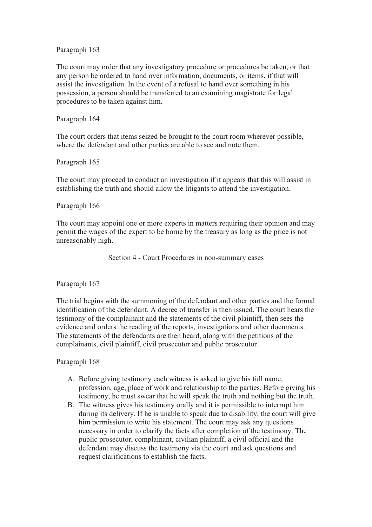The court may order that any investigatory procedure or procedures be taken, or that any person be ordered to hand over information, documents, or items, if that will assist the investigation. In the event of a refusal to hand over something in his possession, a person should be transferred to an examining magistrate for legal procedures to be taken against him.

#### Paragraph 164

The court orders that items seized be brought to the court room wherever possible, where the defendant and other parties are able to see and note them.

#### Paragraph 165

The court may proceed to conduct an investigation if it appears that this will assist in establishing the truth and should allow the litigants to attend the investigation.

#### Paragraph 166

The court may appoint one or more experts in matters requiring their opinion and may permit the wages of the expert to be borne by the treasury as long as the price is not unreasonably high.

Section 4 - Court Procedures in non-summary cases

Paragraph 167

The trial begins with the summoning of the defendant and other parties and the formal identification of the defendant. A decree of transfer is then issued. The court hears the testimony of the complainant and the statements of the civil plaintiff, then sees the evidence and orders the reading of the reports, investigations and other documents. The statements of the defendants are then heard, along with the petitions of the complainants, civil plaintiff, civil prosecutor and public prosecutor.

- A. Before giving testimony each witness is asked to give his full name, profession, age, place of work and relationship to the parties. Before giving his testimony, he must swear that he will speak the truth and nothing but the truth.
- B. The witness gives his testimony orally and it is permissible to interrupt him during its delivery. If he is unable to speak due to disability, the court will give him permission to write his statement. The court may ask any questions necessary in order to clarify the facts after completion of the testimony. The public prosecutor, complainant, civilian plaintiff, a civil official and the defendant may discuss the testimony via the court and ask questions and request clarifications to establish the facts.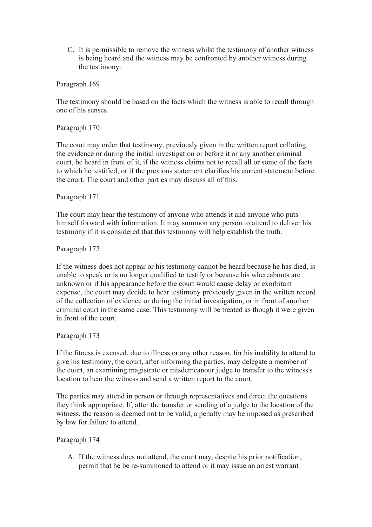C. It is permissible to remove the witness whilst the testimony of another witness is being heard and the witness may be confronted by another witness during the testimony.

Paragraph 169

The testimony should be based on the facts which the witness is able to recall through one of his senses.

Paragraph 170

The court may order that testimony, previously given in the written report collating the evidence or during the initial investigation or before it or any another criminal court, be heard in front of it, if the witness claims not to recall all or some of the facts to which he testified, or if the previous statement clarifies his current statement before the court. The court and other parties may discuss all of this.

Paragraph 171

The court may hear the testimony of anyone who attends it and anyone who puts himself forward with information. It may summon any person to attend to deliver his testimony if it is considered that this testimony will help establish the truth.

Paragraph 172

If the witness does not appear or his testimony cannot be heard because he has died, is unable to speak or is no longer qualified to testify or because his whereabouts are unknown or if his appearance before the court would cause delay or exorbitant expense, the court may decide to hear testimony previously given in the written record of the collection of evidence or during the initial investigation, or in front of another criminal court in the same case. This testimony will be treated as though it were given in front of the court.

Paragraph 173

If the fitness is excused, due to illness or any other reason, for his inability to attend to give his testimony, the court, after informing the parties, may delegate a member of the court, an examining magistrate or misdemeanour judge to transfer to the witness's location to hear the witness and send a written report to the court.

The parties may attend in person or through representatives and direct the questions they think appropriate. If, after the transfer or sending of a judge to the location of the witness, the reason is deemed not to be valid, a penalty may be imposed as prescribed by law for failure to attend.

Paragraph 174

A. If the witness does not attend, the court may, despite his prior notification, permit that he be re-summoned to attend or it may issue an arrest warrant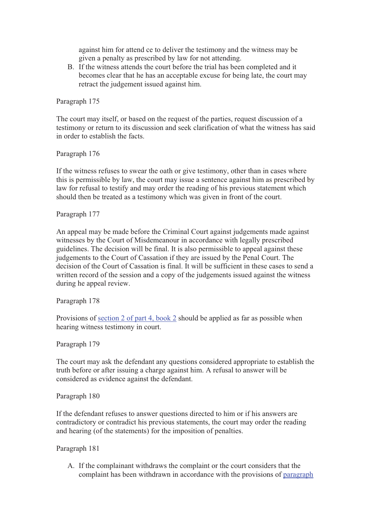against him for attend ce to deliver the testimony and the witness may be given a penalty as prescribed by law for not attending.

B. If the witness attends the court before the trial has been completed and it becomes clear that he has an acceptable excuse for being late, the court may retract the judgement issued against him.

Paragraph 175

The court may itself, or based on the request of the parties, request discussion of a testimony or return to its discussion and seek clarification of what the witness has said in order to establish the facts.

Paragraph 176

If the witness refuses to swear the oath or give testimony, other than in cases where this is permissible by law, the court may issue a sentence against him as prescribed by law for refusal to testify and may order the reading of his previous statement which should then be treated as a testimony which was given in front of the court.

## Paragraph 177

An appeal may be made before the Criminal Court against judgements made against witnesses by the Court of Misdemeanour in accordance with legally prescribed guidelines. The decision will be final. It is also permissible to appeal against these judgements to the Court of Cassation if they are issued by the Penal Court. The decision of the Court of Cassation is final. It will be sufficient in these cases to send a written record of the session and a copy of the judgements issued against the witness during he appeal review.

#### Paragraph 178

Provisions of section 2 of part 4, book 2 should be applied as far as possible when hearing witness testimony in court.

Paragraph 179

The court may ask the defendant any questions considered appropriate to establish the truth before or after issuing a charge against him. A refusal to answer will be considered as evidence against the defendant.

Paragraph 180

If the defendant refuses to answer questions directed to him or if his answers are contradictory or contradict his previous statements, the court may order the reading and hearing (of the statements) for the imposition of penalties.

Paragraph 181

A. If the complainant withdraws the complaint or the court considers that the complaint has been withdrawn in accordance with the provisions of paragraph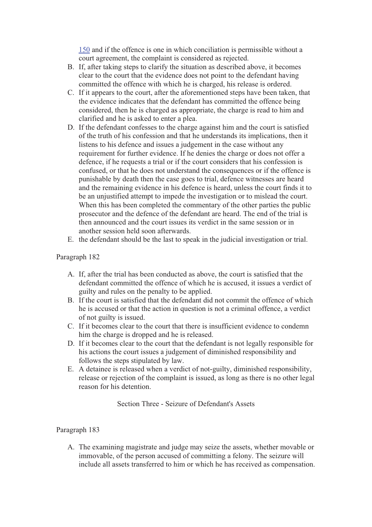150 and if the offence is one in which conciliation is permissible without a court agreement, the complaint is considered as rejected.

- B. If, after taking steps to clarify the situation as described above, it becomes clear to the court that the evidence does not point to the defendant having committed the offence with which he is charged, his release is ordered.
- C. If it appears to the court, after the aforementioned steps have been taken, that the evidence indicates that the defendant has committed the offence being considered, then he is charged as appropriate, the charge is read to him and clarified and he is asked to enter a plea.
- D. If the defendant confesses to the charge against him and the court is satisfied of the truth of his confession and that he understands its implications, then it listens to his defence and issues a judgement in the case without any requirement for further evidence. If he denies the charge or does not offer a defence, if he requests a trial or if the court considers that his confession is confused, or that he does not understand the consequences or if the offence is punishable by death then the case goes to trial, defence witnesses are heard and the remaining evidence in his defence is heard, unless the court finds it to be an unjustified attempt to impede the investigation or to mislead the court. When this has been completed the commentary of the other parties the public prosecutor and the defence of the defendant are heard. The end of the trial is then announced and the court issues its verdict in the same session or in another session held soon afterwards.
- E. the defendant should be the last to speak in the judicial investigation or trial.

## Paragraph 182

- A. If, after the trial has been conducted as above, the court is satisfied that the defendant committed the offence of which he is accused, it issues a verdict of guilty and rules on the penalty to be applied.
- B. If the court is satisfied that the defendant did not commit the offence of which he is accused or that the action in question is not a criminal offence, a verdict of not guilty is issued.
- C. If it becomes clear to the court that there is insufficient evidence to condemn him the charge is dropped and he is released.
- D. If it becomes clear to the court that the defendant is not legally responsible for his actions the court issues a judgement of diminished responsibility and follows the steps stipulated by law.
- E. A detainee is released when a verdict of not-guilty, diminished responsibility, release or rejection of the complaint is issued, as long as there is no other legal reason for his detention.

Section Three - Seizure of Defendant's Assets

# Paragraph 183

A. The examining magistrate and judge may seize the assets, whether movable or immovable, of the person accused of committing a felony. The seizure will include all assets transferred to him or which he has received as compensation.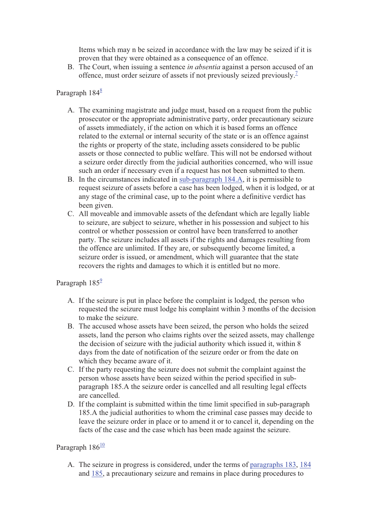Items which may n be seized in accordance with the law may be seized if it is proven that they were obtained as a consequence of an offence.

B. The Court, when issuing a sentence *in absentia* against a person accused of an offence, must order seizure of assets if not previously seized previously.<sup>7</sup>

# Paragraph 184<sup>8</sup>

- A. The examining magistrate and judge must, based on a request from the public prosecutor or the appropriate administrative party, order precautionary seizure of assets immediately, if the action on which it is based forms an offence related to the external or internal security of the state or is an offence against the rights or property of the state, including assets considered to be public assets or those connected to public welfare. This will not be endorsed without a seizure order directly from the judicial authorities concerned, who will issue such an order if necessary even if a request has not been submitted to them.
- B. In the circumstances indicated in sub-paragraph 184.A, it is permissible to request seizure of assets before a case has been lodged, when it is lodged, or at any stage of the criminal case, up to the point where a definitive verdict has been given.
- C. All moveable and immovable assets of the defendant which are legally liable to seizure, are subject to seizure, whether in his possession and subject to his control or whether possession or control have been transferred to another party. The seizure includes all assets if the rights and damages resulting from the offence are unlimited. If they are, or subsequently become limited, a seizure order is issued, or amendment, which will guarantee that the state recovers the rights and damages to which it is entitled but no more.

# Paragraph  $185^{\circ}$

- A. If the seizure is put in place before the complaint is lodged, the person who requested the seizure must lodge his complaint within 3 months of the decision to make the seizure.
- B. The accused whose assets have been seized, the person who holds the seized assets, land the person who claims rights over the seized assets, may challenge the decision of seizure with the judicial authority which issued it, within 8 days from the date of notification of the seizure order or from the date on which they became aware of it.
- C. If the party requesting the seizure does not submit the complaint against the person whose assets have been seized within the period specified in subparagraph 185.A the seizure order is cancelled and all resulting legal effects are cancelled.
- D. If the complaint is submitted within the time limit specified in sub-paragraph 185.A the judicial authorities to whom the criminal case passes may decide to leave the seizure order in place or to amend it or to cancel it, depending on the facts of the case and the case which has been made against the seizure.

#### Paragraph  $186^{10}$

A. The seizure in progress is considered, under the terms of paragraphs 183, 184 and 185, a precautionary seizure and remains in place during procedures to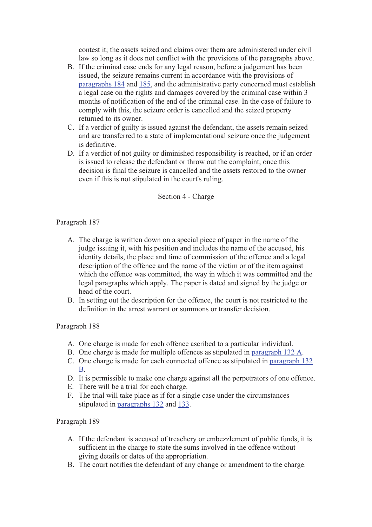contest it; the assets seized and claims over them are administered under civil law so long as it does not conflict with the provisions of the paragraphs above.

- B. If the criminal case ends for any legal reason, before a judgement has been issued, the seizure remains current in accordance with the provisions of paragraphs 184 and 185, and the administrative party concerned must establish a legal case on the rights and damages covered by the criminal case within 3 months of notification of the end of the criminal case. In the case of failure to comply with this, the seizure order is cancelled and the seized property returned to its owner.
- C. If a verdict of guilty is issued against the defendant, the assets remain seized and are transferred to a state of implementational seizure once the judgement is definitive.
- D. If a verdict of not guilty or diminished responsibility is reached, or if an order is issued to release the defendant or throw out the complaint, once this decision is final the seizure is cancelled and the assets restored to the owner even if this is not stipulated in the court's ruling.

#### Section 4 - Charge

# Paragraph 187

- A. The charge is written down on a special piece of paper in the name of the judge issuing it, with his position and includes the name of the accused, his identity details, the place and time of commission of the offence and a legal description of the offence and the name of the victim or of the item against which the offence was committed, the way in which it was committed and the legal paragraphs which apply. The paper is dated and signed by the judge or head of the court.
- B. In setting out the description for the offence, the court is not restricted to the definition in the arrest warrant or summons or transfer decision.

#### Paragraph 188

- A. One charge is made for each offence ascribed to a particular individual.
- B. One charge is made for multiple offences as stipulated in paragraph 132 A.
- C. One charge is made for each connected offence as stipulated in paragraph 132 B.
- D. It is permissible to make one charge against all the perpetrators of one offence.
- E. There will be a trial for each charge.
- F. The trial will take place as if for a single case under the circumstances stipulated in paragraphs 132 and 133.

- A. If the defendant is accused of treachery or embezzlement of public funds, it is sufficient in the charge to state the sums involved in the offence without giving details or dates of the appropriation.
- B. The court notifies the defendant of any change or amendment to the charge.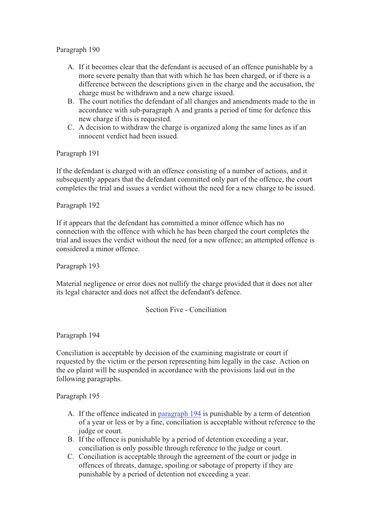- A. If it becomes clear that the defendant is accused of an offence punishable by a more severe penalty than that with which he has been charged, or if there is a difference between the descriptions given in the charge and the accusation, the charge must be withdrawn and a new charge issued.
- B. The court notifies the defendant of all changes and amendments made to the in accordance with sub-paragraph A and grants a period of time for defence this new charge if this is requested.
- C. A decision to withdraw the charge is organized along the same lines as if an innocent verdict had been issued.

Paragraph 191

If the defendant is charged with an offence consisting of a number of actions, and it subsequently appears that the defendant committed only part of the offence, the court completes the trial and issues a verdict without the need for a new charge to be issued.

# Paragraph 192

If it appears that the defendant has committed a minor offence which has no connection with the offence with which he has been charged the court completes the trial and issues the verdict without the need for a new offence; an attempted offence is considered a minor offence.

Paragraph 193

Material negligence or error does not nullify the charge provided that it does not alter its legal character and does not affect the defendant's defence.

#### Section Five - Conciliation

Paragraph 194

Conciliation is acceptable by decision of the examining magistrate or court if requested by the victim or the person representing him legally in the case. Action on the co plaint will be suspended in accordance with the provisions laid out in the following paragraphs.

- A. If the offence indicated in paragraph 194 is punishable by a term of detention of a year or less or by a fine, conciliation is acceptable without reference to the judge or court.
- B. If the offence is punishable by a period of detention exceeding a year, conciliation is only possible through reference to the judge or court.
- C. Conciliation is acceptable through the agreement of the court or judge in offences of threats, damage, spoiling or sabotage of property if they are punishable by a period of detention not exceeding a year.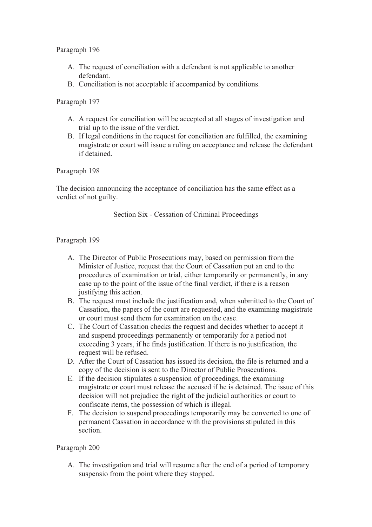- A. The request of conciliation with a defendant is not applicable to another defendant.
- B. Conciliation is not acceptable if accompanied by conditions.

# Paragraph 197

- A. A request for conciliation will be accepted at all stages of investigation and trial up to the issue of the verdict.
- B. If legal conditions in the request for conciliation are fulfilled, the examining magistrate or court will issue a ruling on acceptance and release the defendant if detained.

# Paragraph 198

The decision announcing the acceptance of conciliation has the same effect as a verdict of not guilty.

Section Six - Cessation of Criminal Proceedings

# Paragraph 199

- A. The Director of Public Prosecutions may, based on permission from the Minister of Justice, request that the Court of Cassation put an end to the procedures of examination or trial, either temporarily or permanently, in any case up to the point of the issue of the final verdict, if there is a reason justifying this action.
- B. The request must include the justification and, when submitted to the Court of Cassation, the papers of the court are requested, and the examining magistrate or court must send them for examination on the case.
- C. The Court of Cassation checks the request and decides whether to accept it and suspend proceedings permanently or temporarily for a period not exceeding 3 years, if he finds justification. If there is no justification, the request will be refused.
- D. After the Court of Cassation has issued its decision, the file is returned and a copy of the decision is sent to the Director of Public Prosecutions.
- E. If the decision stipulates a suspension of proceedings, the examining magistrate or court must release the accused if he is detained. The issue of this decision will not prejudice the right of the judicial authorities or court to confiscate items, the possession of which is illegal.
- F. The decision to suspend proceedings temporarily may be converted to one of permanent Cassation in accordance with the provisions stipulated in this section.

#### Paragraph 200

A. The investigation and trial will resume after the end of a period of temporary suspensio from the point where they stopped.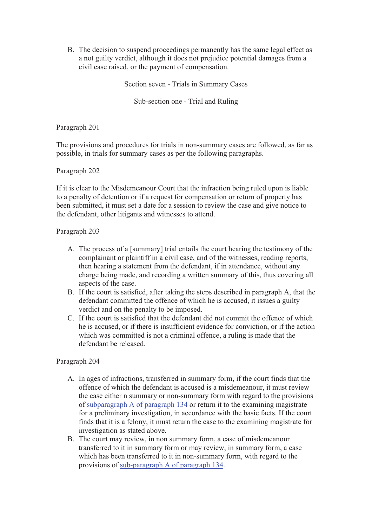B. The decision to suspend proceedings permanently has the same legal effect as a not guilty verdict, although it does not prejudice potential damages from a civil case raised, or the payment of compensation.

Section seven - Trials in Summary Cases

Sub-section one - Trial and Ruling

Paragraph 201

The provisions and procedures for trials in non-summary cases are followed, as far as possible, in trials for summary cases as per the following paragraphs.

#### Paragraph 202

If it is clear to the Misdemeanour Court that the infraction being ruled upon is liable to a penalty of detention or if a request for compensation or return of property has been submitted, it must set a date for a session to review the case and give notice to the defendant, other litigants and witnesses to attend.

# Paragraph 203

- A. The process of a [summary] trial entails the court hearing the testimony of the complainant or plaintiff in a civil case, and of the witnesses, reading reports, then hearing a statement from the defendant, if in attendance, without any charge being made, and recording a written summary of this, thus covering all aspects of the case.
- B. If the court is satisfied, after taking the steps described in paragraph A, that the defendant committed the offence of which he is accused, it issues a guilty verdict and on the penalty to be imposed.
- C. If the court is satisfied that the defendant did not commit the offence of which he is accused, or if there is insufficient evidence for conviction, or if the action which was committed is not a criminal offence, a ruling is made that the defendant be released.

- A. In ages of infractions, transferred in summary form, if the court finds that the offence of which the defendant is accused is a misdemeanour, it must review the case either n summary or non-summary form with regard to the provisions of subparagraph A of paragraph 134 or return it to the examining magistrate for a preliminary investigation, in accordance with the basic facts. If the court finds that it is a felony, it must return the case to the examining magistrate for investigation as stated above.
- B. The court may review, in non summary form, a case of misdemeanour transferred to it in summary form or may review, in summary form, a case which has been transferred to it in non-summary form, with regard to the provisions of sub-paragraph A of paragraph 134.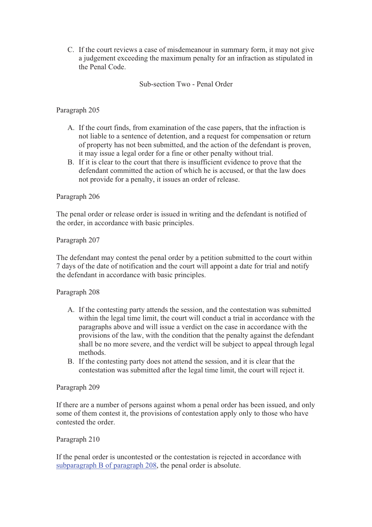C. If the court reviews a case of misdemeanour in summary form, it may not give a judgement exceeding the maximum penalty for an infraction as stipulated in the Penal Code.

Sub-section Two - Penal Order

# Paragraph 205

- A. If the court finds, from examination of the case papers, that the infraction is not liable to a sentence of detention, and a request for compensation or return of property has not been submitted, and the action of the defendant is proven, it may issue a legal order for a fine or other penalty without trial.
- B. If it is clear to the court that there is insufficient evidence to prove that the defendant committed the action of which he is accused, or that the law does not provide for a penalty, it issues an order of release.

# Paragraph 206

The penal order or release order is issued in writing and the defendant is notified of the order, in accordance with basic principles.

# Paragraph 207

The defendant may contest the penal order by a petition submitted to the court within 7 days of the date of notification and the court will appoint a date for trial and notify the defendant in accordance with basic principles.

#### Paragraph 208

- A. If the contesting party attends the session, and the contestation was submitted within the legal time limit, the court will conduct a trial in accordance with the paragraphs above and will issue a verdict on the case in accordance with the provisions of the law, with the condition that the penalty against the defendant shall be no more severe, and the verdict will be subject to appeal through legal methods.
- B. If the contesting party does not attend the session, and it is clear that the contestation was submitted after the legal time limit, the court will reject it.

#### Paragraph 209

If there are a number of persons against whom a penal order has been issued, and only some of them contest it, the provisions of contestation apply only to those who have contested the order.

#### Paragraph 210

If the penal order is uncontested or the contestation is rejected in accordance with subparagraph B of paragraph 208, the penal order is absolute.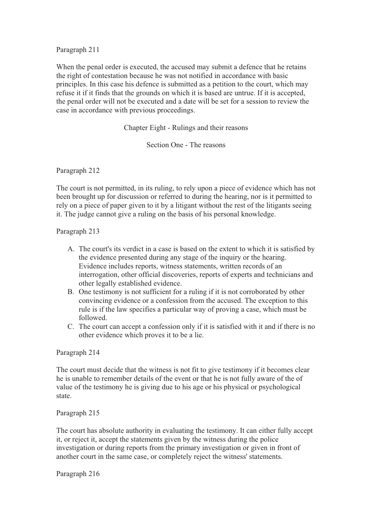When the penal order is executed, the accused may submit a defence that he retains the right of contestation because he was not notified in accordance with basic principles. In this case his defence is submitted as a petition to the court, which may refuse it if it finds that the grounds on which it is based are untrue. If it is accepted, the penal order will not be executed and a date will be set for a session to review the case in accordance with previous proceedings.

Chapter Eight - Rulings and their reasons

Section One - The reasons

Paragraph 212

The court is not permitted, in its ruling, to rely upon a piece of evidence which has not been brought up for discussion or referred to during the hearing, nor is it permitted to rely on a piece of paper given to it by a litigant without the rest of the litigants seeing it. The judge cannot give a ruling on the basis of his personal knowledge.

Paragraph 213

- A. The court's its verdict in a case is based on the extent to which it is satisfied by the evidence presented during any stage of the inquiry or the hearing. Evidence includes reports, witness statements, written records of an interrogation, other official discoveries, reports of experts and technicians and other legally established evidence.
- B. One testimony is not sufficient for a ruling if it is not corroborated by other convincing evidence or a confession from the accused. The exception to this rule is if the law specifies a particular way of proving a case, which must be followed.
- C. The court can accept a confession only if it is satisfied with it and if there is no other evidence which proves it to be a lie.

#### Paragraph 214

The court must decide that the witness is not fit to give testimony if it becomes clear he is unable to remember details of the event or that he is not fully aware of the of value of the testimony he is giving due to his age or his physical or psychological state.

Paragraph 215

The court has absolute authority in evaluating the testimony. It can either fully accept it, or reject it, accept the statements given by the witness during the police investigation or during reports from the primary investigation or given in front of another court in the same case, or completely reject the witness' statements.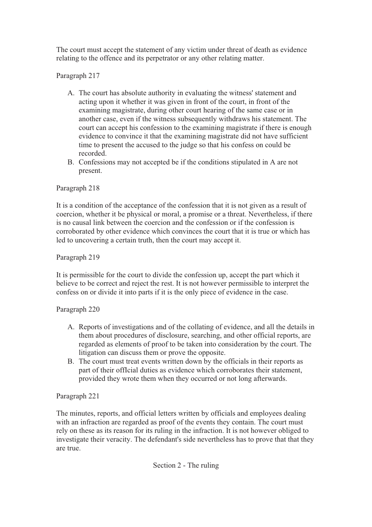The court must accept the statement of any victim under threat of death as evidence relating to the offence and its perpetrator or any other relating matter.

Paragraph 217

- A. The court has absolute authority in evaluating the witness' statement and acting upon it whether it was given in front of the court, in front of the examining magistrate, during other court hearing of the same case or in another case, even if the witness subsequently withdraws his statement. The court can accept his confession to the examining magistrate if there is enough evidence to convince it that the examining magistrate did not have sufficient time to present the accused to the judge so that his confess on could be recorded.
- B. Confessions may not accepted be if the conditions stipulated in A are not present.

# Paragraph 218

It is a condition of the acceptance of the confession that it is not given as a result of coercion, whether it be physical or moral, a promise or a threat. Nevertheless, if there is no causal link between the coercion and the confession or if the confession is corroborated by other evidence which convinces the court that it is true or which has led to uncovering a certain truth, then the court may accept it.

Paragraph 219

It is permissible for the court to divide the confession up, accept the part which it believe to be correct and reject the rest. It is not however permissible to interpret the confess on or divide it into parts if it is the only piece of evidence in the case.

# Paragraph 220

- A. Reports of investigations and of the collating of evidence, and all the details in them about procedures of disclosure, searching, and other official reports, are regarded as elements of proof to be taken into consideration by the court. The litigation can discuss them or prove the opposite.
- B. The court must treat events written down by the officials in their reports as part of their offIcial duties as evidence which corroborates their statement, provided they wrote them when they occurred or not long afterwards.

# Paragraph 221

The minutes, reports, and official letters written by officials and employees dealing with an infraction are regarded as proof of the events they contain. The court must rely on these as its reason for its ruling in the infraction. It is not however obliged to investigate their veracity. The defendant's side nevertheless has to prove that that they are true.

Section 2 - The ruling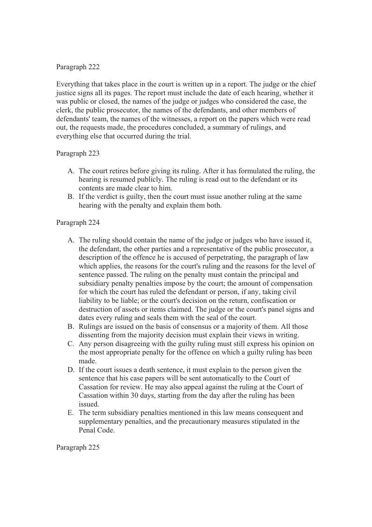Everything that takes place in the court is written up in a report. The judge or the chief justice signs all its pages. The report must include the date of each hearing, whether it was public or closed, the names of the judge or judges who considered the case, the clerk, the public prosecutor, the names of the defendants, and other members of defendants' team, the names of the witnesses, a report on the papers which were read out, the requests made, the procedures concluded, a summary of rulings, and everything else that occurred during the trial.

# Paragraph 223

- A. The court retires before giving its ruling. After it has formulated the ruling, the hearing is resumed publicly. The ruling is read out to the defendant or its contents are made clear to him.
- B. If the verdict is guilty, then the court must issue another ruling at the same hearing with the penalty and explain them both.

# Paragraph 224

- A. The ruling should contain the name of the judge or judges who have issued it, the defendant, the other parties and a representative of the public prosecutor, a description of the offence he is accused of perpetrating, the paragraph of law which applies, the reasons for the court's ruling and the reasons for the level of sentence passed. The ruling on the penalty must contain the principal and subsidiary penalty penalties impose by the court; the amount of compensation for which the court has ruled the defendant or person, if any, taking civil liability to be liable; or the court's decision on the return, confiscation or destruction of assets or items claimed. The judge or the court's panel signs and dates every ruling and seals them with the seal of the court.
- B. Rulings are issued on the basis of consensus or a majority of them. All those dissenting from the majority decision must explain their views in writing.
- C. Any person disagreeing with the guilty ruling must still express his opinion on the most appropriate penalty for the offence on which a guilty ruling has been made.
- D. If the court issues a death sentence, it must explain to the person given the sentence that his case papers will be sent automatically to the Court of Cassation for review. He may also appeal against the ruling at the Court of Cassation within 30 days, starting from the day after the ruling has been issued.
- E. The term subsidiary penalties mentioned in this law means consequent and supplementary penalties, and the precautionary measures stipulated in the Penal Code.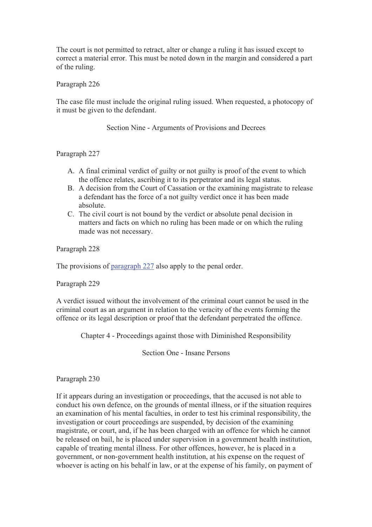The court is not permitted to retract, alter or change a ruling it has issued except to correct a material error. This must be noted down in the margin and considered a part of the ruling.

Paragraph 226

The case file must include the original ruling issued. When requested, a photocopy of it must be given to the defendant.

Section Nine - Arguments of Provisions and Decrees

Paragraph 227

- A. A final criminal verdict of guilty or not guilty is proof of the event to which the offence relates, ascribing it to its perpetrator and its legal status.
- B. A decision from the Court of Cassation or the examining magistrate to release a defendant has the force of a not guilty verdict once it has been made absolute.
- C. The civil court is not bound by the verdict or absolute penal decision in matters and facts on which no ruling has been made or on which the ruling made was not necessary.

Paragraph 228

The provisions of paragraph 227 also apply to the penal order.

Paragraph 229

A verdict issued without the involvement of the criminal court cannot be used in the criminal court as an argument in relation to the veracity of the events forming the offence or its legal description or proof that the defendant perpetrated the offence.

Chapter 4 - Proceedings against those with Diminished Responsibility

Section One - Insane Persons

Paragraph 230

If it appears during an investigation or proceedings, that the accused is not able to conduct his own defence, on the grounds of mental illness, or if the situation requires an examination of his mental faculties, in order to test his criminal responsibility, the investigation or court proceedings are suspended, by decision of the examining magistrate, or court, and, if he has been charged with an offence for which he cannot be released on bail, he is placed under supervision in a government health institution, capable of treating mental illness. For other offences, however, he is placed in a government, or non-government health institution, at his expense on the request of whoever is acting on his behalf in law, or at the expense of his family, on payment of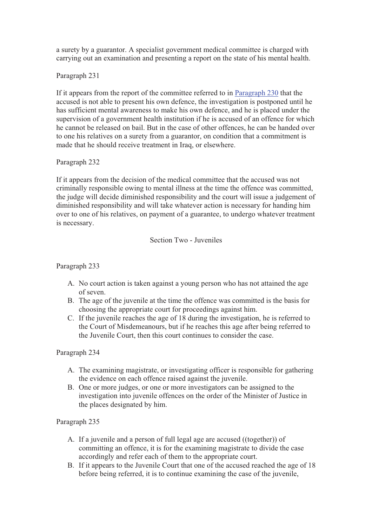a surety by a guarantor. A specialist government medical committee is charged with carrying out an examination and presenting a report on the state of his mental health.

Paragraph 231

If it appears from the report of the committee referred to in Paragraph 230 that the accused is not able to present his own defence, the investigation is postponed until he has sufficient mental awareness to make his own defence, and he is placed under the supervision of a government health institution if he is accused of an offence for which he cannot be released on bail. But in the case of other offences, he can be handed over to one his relatives on a surety from a guarantor, on condition that a commitment is made that he should receive treatment in Iraq, or elsewhere.

# Paragraph 232

If it appears from the decision of the medical committee that the accused was not criminally responsible owing to mental illness at the time the offence was committed, the judge will decide diminished responsibility and the court will issue a judgement of diminished responsibility and will take whatever action is necessary for handing him over to one of his relatives, on payment of a guarantee, to undergo whatever treatment is necessary.

Section Two - Juveniles

# Paragraph 233

- A. No court action is taken against a young person who has not attained the age of seven.
- B. The age of the juvenile at the time the offence was committed is the basis for choosing the appropriate court for proceedings against him.
- C. If the juvenile reaches the age of 18 during the investigation, he is referred to the Court of Misdemeanours, but if he reaches this age after being referred to the Juvenile Court, then this court continues to consider the case.

# Paragraph 234

- A. The examining magistrate, or investigating officer is responsible for gathering the evidence on each offence raised against the juvenile.
- B. One or more judges, or one or more investigators can be assigned to the investigation into juvenile offences on the order of the Minister of Justice in the places designated by him.

- A. If a juvenile and a person of full legal age are accused ((together)) of committing an offence, it is for the examining magistrate to divide the case accordingly and refer each of them to the appropriate court.
- B. If it appears to the Juvenile Court that one of the accused reached the age of 18 before being referred, it is to continue examining the case of the juvenile,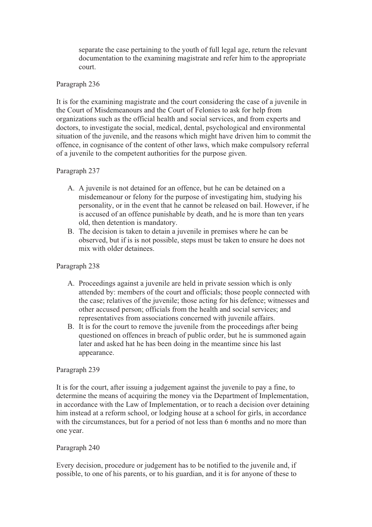separate the case pertaining to the youth of full legal age, return the relevant documentation to the examining magistrate and refer him to the appropriate court.

#### Paragraph 236

It is for the examining magistrate and the court considering the case of a juvenile in the Court of Misdemeanours and the Court of Felonies to ask for help from organizations such as the official health and social services, and from experts and doctors, to investigate the social, medical, dental, psychological and environmental situation of the juvenile, and the reasons which might have driven him to commit the offence, in cognisance of the content of other laws, which make compulsory referral of a juvenile to the competent authorities for the purpose given.

#### Paragraph 237

- A. A juvenile is not detained for an offence, but he can be detained on a misdemeanour or felony for the purpose of investigating him, studying his personality, or in the event that he cannot be released on bail. However, if he is accused of an offence punishable by death, and he is more than ten years old, then detention is mandatory.
- B. The decision is taken to detain a juvenile in premises where he can be observed, but if is is not possible, steps must be taken to ensure he does not mix with older detainees.

### Paragraph 238

- A. Proceedings against a juvenile are held in private session which is only attended by: members of the court and officials; those people connected with the case; relatives of the juvenile; those acting for his defence; witnesses and other accused person; officials from the health and social services; and representatives from associations concerned with juvenile affairs.
- B. It is for the court to remove the juvenile from the proceedings after being questioned on offences in breach of public order, but he is summoned again later and asked hat he has been doing in the meantime since his last appearance.

#### Paragraph 239

It is for the court, after issuing a judgement against the juvenile to pay a fine, to determine the means of acquiring the money via the Department of Implementation, in accordance with the Law of Implementation, or to reach a decision over detaining him instead at a reform school, or lodging house at a school for girls, in accordance with the circumstances, but for a period of not less than 6 months and no more than one year.

#### Paragraph 240

Every decision, procedure or judgement has to be notified to the juvenile and, if possible, to one of his parents, or to his guardian, and it is for anyone of these to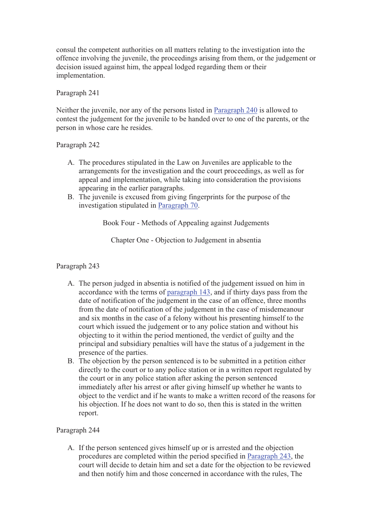consul the competent authorities on all matters relating to the investigation into the offence involving the juvenile, the proceedings arising from them, or the judgement or decision issued against him, the appeal lodged regarding them or their implementation.

# Paragraph 241

Neither the juvenile, nor any of the persons listed in Paragraph 240 is allowed to contest the judgement for the juvenile to be handed over to one of the parents, or the person in whose care he resides.

# Paragraph 242

- A. The procedures stipulated in the Law on Juveniles are applicable to the arrangements for the investigation and the court proceedings, as well as for appeal and implementation, while taking into consideration the provisions appearing in the earlier paragraphs.
- B. The juvenile is excused from giving fingerprints for the purpose of the investigation stipulated in Paragraph 70.

Book Four - Methods of Appealing against Judgements

Chapter One - Objection to Judgement in absentia

# Paragraph 243

- A. The person judged in absentia is notified of the judgement issued on him in accordance with the terms of paragraph 143, and if thirty days pass from the date of notification of the judgement in the case of an offence, three months from the date of notification of the judgement in the case of misdemeanour and six months in the case of a felony without his presenting himself to the court which issued the judgement or to any police station and without his objecting to it within the period mentioned, the verdict of guilty and the principal and subsidiary penalties will have the status of a judgement in the presence of the parties.
- B. The objection by the person sentenced is to be submitted in a petition either directly to the court or to any police station or in a written report regulated by the court or in any police station after asking the person sentenced immediately after his arrest or after giving himself up whether he wants to object to the verdict and if he wants to make a written record of the reasons for his objection. If he does not want to do so, then this is stated in the written report.

# Paragraph 244

A. If the person sentenced gives himself up or is arrested and the objection procedures are completed within the period specified in Paragraph 243, the court will decide to detain him and set a date for the objection to be reviewed and then notify him and those concerned in accordance with the rules, The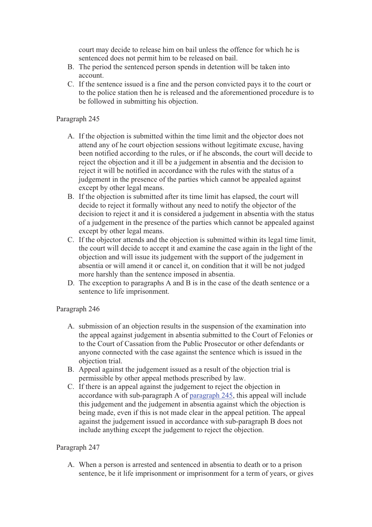court may decide to release him on bail unless the offence for which he is sentenced does not permit him to be released on bail.

- B. The period the sentenced person spends in detention will be taken into account.
- C. If the sentence issued is a fine and the person convicted pays it to the court or to the police station then he is released and the aforementioned procedure is to be followed in submitting his objection.

### Paragraph 245

- A. If the objection is submitted within the time limit and the objector does not attend any of he court objection sessions without legitimate excuse, having been notified according to the rules, or if he absconds, the court will decide to reject the objection and it ill be a judgement in absentia and the decision to reject it will be notified in accordance with the rules with the status of a judgement in the presence of the parties which cannot be appealed against except by other legal means.
- B. If the objection is submitted after its time limit has elapsed, the court will decide to reject it formally without any need to notify the objector of the decision to reject it and it is considered a judgement in absentia with the status of a judgement in the presence of the parties which cannot be appealed against except by other legal means.
- C. If the objector attends and the objection is submitted within its legal time limit, the court will decide to accept it and examine the case again in the light of the objection and will issue its judgement with the support of the judgement in absentia or will amend it or cancel it, on condition that it will be not judged more harshly than the sentence imposed in absentia.
- D. The exception to paragraphs A and B is in the case of the death sentence or a sentence to life imprisonment.

# Paragraph 246

- A. submission of an objection results in the suspension of the examination into the appeal against judgement in absentia submitted to the Court of Felonies or to the Court of Cassation from the Public Prosecutor or other defendants or anyone connected with the case against the sentence which is issued in the objection trial.
- B. Appeal against the judgement issued as a result of the objection trial is permissible by other appeal methods prescribed by law.
- C. If there is an appeal against the judgement to reject the objection in accordance with sub-paragraph A of paragraph 245, this appeal will include this judgement and the judgement in absentia against which the objection is being made, even if this is not made clear in the appeal petition. The appeal against the judgement issued in accordance with sub-paragraph B does not include anything except the judgement to reject the objection.

# Paragraph 247

A. When a person is arrested and sentenced in absentia to death or to a prison sentence, be it life imprisonment or imprisonment for a term of years, or gives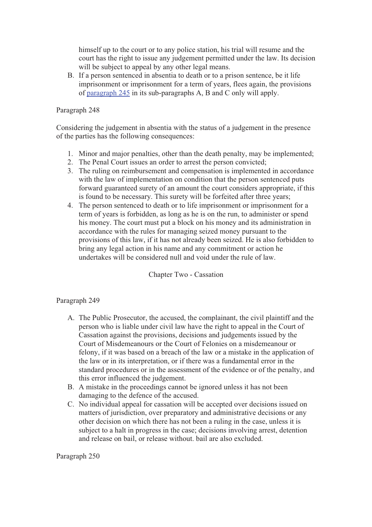himself up to the court or to any police station, his trial will resume and the court has the right to issue any judgement permitted under the law. Its decision will be subject to appeal by any other legal means.

B. If a person sentenced in absentia to death or to a prison sentence, be it life imprisonment or imprisonment for a term of years, flees again, the provisions of paragraph 245 in its sub-paragraphs A, B and C only will apply.

#### Paragraph 248

Considering the judgement in absentia with the status of a judgement in the presence of the parties has the following consequences:

- 1. Minor and major penalties, other than the death penalty, may be implemented;
- 2. The Penal Court issues an order to arrest the person convicted;
- 3. The ruling on reimbursement and compensation is implemented in accordance with the law of implementation on condition that the person sentenced puts forward guaranteed surety of an amount the court considers appropriate, if this is found to be necessary. This surety will be forfeited after three years;
- 4. The person sentenced to death or to life imprisonment or imprisonment for a term of years is forbidden, as long as he is on the run, to administer or spend his money. The court must put a block on his money and its administration in accordance with the rules for managing seized money pursuant to the provisions of this law, if it has not already been seized. He is also forbidden to bring any legal action in his name and any commitment or action he undertakes will be considered null and void under the rule of law.

Chapter Two - Cassation

#### Paragraph 249

- A. The Public Prosecutor, the accused, the complainant, the civil plaintiff and the person who is liable under civil law have the right to appeal in the Court of Cassation against the provisions, decisions and judgements issued by the Court of Misdemeanours or the Court of Felonies on a misdemeanour or felony, if it was based on a breach of the law or a mistake in the application of the law or in its interpretation, or if there was a fundamental error in the standard procedures or in the assessment of the evidence or of the penalty, and this error influenced the judgement.
- B. A mistake in the proceedings cannot be ignored unless it has not been damaging to the defence of the accused.
- C. No individual appeal for cassation will be accepted over decisions issued on matters of jurisdiction, over preparatory and administrative decisions or any other decision on which there has not been a ruling in the case, unless it is subject to a halt in progress in the case; decisions involving arrest, detention and release on bail, or release without. bail are also excluded.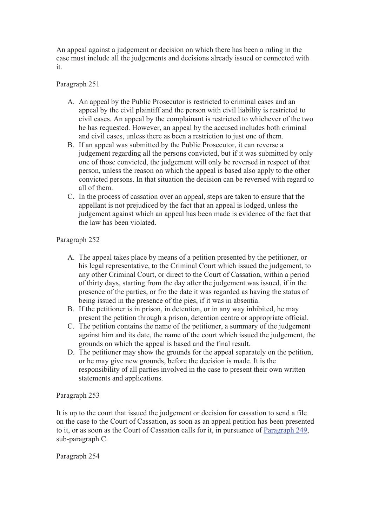An appeal against a judgement or decision on which there has been a ruling in the case must include all the judgements and decisions already issued or connected with it.

# Paragraph 251

- A. An appeal by the Public Prosecutor is restricted to criminal cases and an appeal by the civil plaintiff and the person with civil liability is restricted to civil cases. An appeal by the complainant is restricted to whichever of the two he has requested. However, an appeal by the accused includes both criminal and civil cases, unless there as been a restriction to just one of them.
- B. If an appeal was submitted by the Public Prosecutor, it can reverse a judgement regarding all the persons convicted, but if it was submitted by only one of those convicted, the judgement will only be reversed in respect of that person, unless the reason on which the appeal is based also apply to the other convicted persons. In that situation the decision can be reversed with regard to all of them.
- C. In the process of cassation over an appeal, steps are taken to ensure that the appellant is not prejudiced by the fact that an appeal is lodged, unless the judgement against which an appeal has been made is evidence of the fact that the law has been violated.

# Paragraph 252

- A. The appeal takes place by means of a petition presented by the petitioner, or his legal representative, to the Criminal Court which issued the judgement, to any other Criminal Court, or direct to the Court of Cassation, within a period of thirty days, starting from the day after the judgement was issued, if in the presence of the parties, or fro the date it was regarded as having the status of being issued in the presence of the pies, if it was in absentia.
- B. If the petitioner is in prison, in detention, or in any way inhibited, he may present the petition through a prison, detention centre or appropriate official.
- C. The petition contains the name of the petitioner, a summary of the judgement against him and its date, the name of the court which issued the judgement, the grounds on which the appeal is based and the final result.
- D. The petitioner may show the grounds for the appeal separately on the petition, or he may give new grounds, before the decision is made. It is the responsibility of all parties involved in the case to present their own written statements and applications.

#### Paragraph 253

It is up to the court that issued the judgement or decision for cassation to send a file on the case to the Court of Cassation, as soon as an appeal petition has been presented to it, or as soon as the Court of Cassation calls for it, in pursuance of Paragraph 249, sub-paragraph C.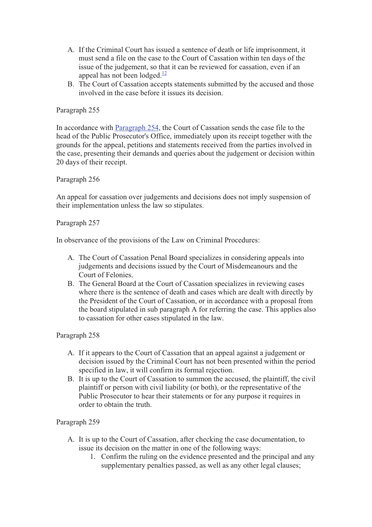- A. If the Criminal Court has issued a sentence of death or life imprisonment, it must send a file on the case to the Court of Cassation within ten days of the issue of the judgement, so that it can be reviewed for cassation, even if an appeal has not been lodged. $\frac{12}{2}$
- B. The Court of Cassation accepts statements submitted by the accused and those involved in the case before it issues its decision.

In accordance with Paragraph 254, the Court of Cassation sends the case file to the head of the Public Prosecutor's Office, immediately upon its receipt together with the grounds for the appeal, petitions and statements received from the parties involved in the case, presenting their demands and queries about the judgement or decision within 20 days of their receipt.

Paragraph 256

An appeal for cassation over judgements and decisions does not imply suspension of their implementation unless the law so stipulates.

#### Paragraph 257

In observance of the provisions of the Law on Criminal Procedures:

- A. The Court of Cassation Penal Board specializes in considering appeals into judgements and decisions issued by the Court of Misdemeanours and the Court of Felonies.
- B. The General Board at the Court of Cassation specializes in reviewing cases where there is the sentence of death and cases which are dealt with directly by the President of the Court of Cassation, or in accordance with a proposal from the board stipulated in sub paragraph A for referring the case. This applies also to cassation for other cases stipulated in the law.

#### Paragraph 258

- A. If it appears to the Court of Cassation that an appeal against a judgement or decision issued by the Criminal Court has not been presented within the period specified in law, it will confirm its formal rejection.
- B. It is up to the Court of Cassation to summon the accused, the plaintiff, the civil plaintiff or person with civil liability (or both), or the representative of the Public Prosecutor to hear their statements or for any purpose it requires in order to obtain the truth.

- A. It is up to the Court of Cassation, after checking the case documentation, to issue its decision on the matter in one of the following ways:
	- 1. Confirm the ruling on the evidence presented and the principal and any supplementary penalties passed, as well as any other legal clauses;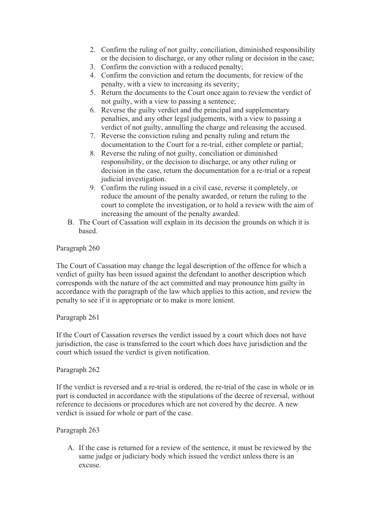- 2. Confirm the ruling of not guilty, conciliation, diminished responsibility or the decision to discharge, or any other ruling or decision in the case;
- 3. Confirm the conviction with a reduced penalty;
- 4. Confirm the conviction and return the documents, for review of the penalty, with a view to increasing its severity;
- 5. Return the documents to the Court once again to review the verdict of not guilty, with a view to passing a sentence;
- 6. Reverse the guilty verdict and the principal and supplementary penalties, and any other legal judgements, with a view to passing a verdict of not guilty, annulling the charge and releasing the accused.
- 7. Reverse the conviction ruling and penalty ruling and return the documentation to the Court for a re-trial, either complete or partial;
- 8. Reverse the ruling of not guilty, conciliation or diminished responsibility, or the decision to discharge, or any other ruling or decision in the case, return the documentation for a re-trial or a repeat judicial investigation.
- 9. Confirm the ruling issued in a civil case, reverse it completely, or reduce the amount of the penalty awarded, or return the ruling to the court to complete the investigation, or to hold a review with the aim of increasing the amount of the penalty awarded.
- B. The Court of Cassation will explain in its decision the grounds on which it is based.

The Court of Cassation may change the legal description of the offence for which a verdict of guilty has been issued against the defendant to another description which corresponds with the nature of the act committed and may pronounce him guilty in accordance with the paragraph of the law which applies to this action, and review the penalty to see if it is appropriate or to make is more lenient.

#### Paragraph 261

If the Court of Cassation reverses the verdict issued by a court which does not have jurisdiction, the case is transferred to the court which does have jurisdiction and the court which issued the verdict is given notification.

#### Paragraph 262

If the verdict is reversed and a re-trial is ordered, the re-trial of the case in whole or in part is conducted in accordance with the stipulations of the decree of reversal, without reference to decisions or procedures which are not covered by the decree. A new verdict is issued for whole or part of the case.

#### Paragraph 263

A. If the case is returned for a review of the sentence, it must be reviewed by the same judge or judiciary body which issued the verdict unless there is an excuse.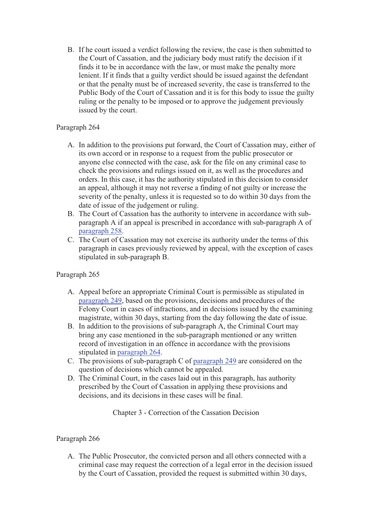B. If he court issued a verdict following the review, the case is then submitted to the Court of Cassation, and the judiciary body must ratify the decision if it finds it to be in accordance with the law, or must make the penalty more lenient. If it finds that a guilty verdict should be issued against the defendant or that the penalty must be of increased severity, the case is transferred to the Public Body of the Court of Cassation and it is for this body to issue the guilty ruling or the penalty to be imposed or to approve the judgement previously issued by the court.

# Paragraph 264

- A. In addition to the provisions put forward, the Court of Cassation may, either of its own accord or in response to a request from the public prosecutor or anyone else connected with the case, ask for the file on any criminal case to check the provisions and rulings issued on it, as well as the procedures and orders. In this case, it has the authority stipulated in this decision to consider an appeal, although it may not reverse a finding of not guilty or increase the severity of the penalty, unless it is requested so to do within 30 days from the date of issue of the judgement or ruling.
- B. The Court of Cassation has the authority to intervene in accordance with subparagraph A if an appeal is prescribed in accordance with sub-paragraph A of paragraph 258.
- C. The Court of Cassation may not exercise its authority under the terms of this paragraph in cases previously reviewed by appeal, with the exception of cases stipulated in sub-paragraph B.

# Paragraph 265

- A. Appeal before an appropriate Criminal Court is permissible as stipulated in paragraph 249, based on the provisions, decisions and procedures of the Felony Court in cases of infractions, and in decisions issued by the examining magistrate, within 30 days, starting from the day following the date of issue.
- B. In addition to the provisions of sub-paragraph A, the Criminal Court may bring any case mentioned in the sub-paragraph mentioned or any written record of investigation in an offence in accordance with the provisions stipulated in paragraph 264.
- C. The provisions of sub-paragraph C of paragraph 249 are considered on the question of decisions which cannot be appealed.
- D. The Criminal Court, in the cases laid out in this paragraph, has authority prescribed by the Court of Cassation in applying these provisions and decisions, and its decisions in these cases will be final.

Chapter 3 - Correction of the Cassation Decision

# Paragraph 266

A. The Public Prosecutor, the convicted person and all others connected with a criminal case may request the correction of a legal error in the decision issued by the Court of Cassation, provided the request is submitted within 30 days,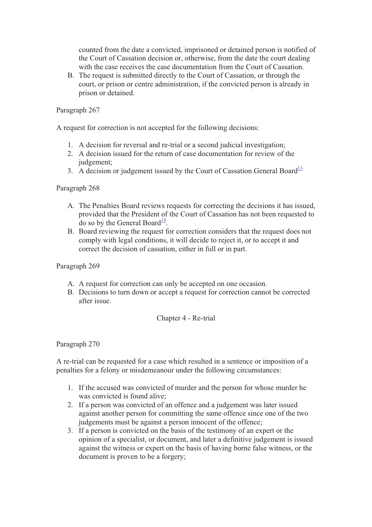counted from the date a convicted, imprisoned or detained person is notified of the Court of Cassation decision or, otherwise, from the date the court dealing with the case receives the case documentation from the Court of Cassation.

B. The request is submitted directly to the Court of Cassation, or through the court, or prison or centre administration, if the convicted person is already in prison or detained.

### Paragraph 267

A request for correction is not accepted for the following decisions:

- 1. A decision for reversal and re-trial or a second judicial investigation;
- 2. A decision issued for the return of case documentation for review of the judgement:
- 3. A decision or judgement issued by the Court of Cassation General Board<sup>13</sup>

# Paragraph 268

- A. The Penalties Board reviews requests for correcting the decisions it has issued, provided that the President of the Court of Cassation has not been requested to do so by the General Board $\frac{14}{1}$ .
- B. Board reviewing the request for correction considers that the request does not comply with legal conditions, it will decide to reject it, or to accept it and correct the decision of cassation, either in full or in part.

Paragraph 269

- A. A request for correction can only be accepted on one occasion.
- B. Decisions to turn down or accept a request for correction cannot be corrected after issue.

#### Chapter 4 - Re-trial

Paragraph 270

A re-trial can be requested for a case which resulted in a sentence or imposition of a penalties for a felony or misdemeanour under the following circumstances:

- 1. If the accused was convicted of murder and the person for whose murder he was convicted is found alive;
- 2. If a person was convicted of an offence and a judgement was later issued against another person for committing the same offence since one of the two judgements must be against a person innocent of the offence;
- 3. If a person is convicted on the basis of the testimony of an expert or the opinion of a specialist, or document, and later a definitive judgement is issued against the witness or expert on the basis of having borne false witness, or the document is proven to be a forgery;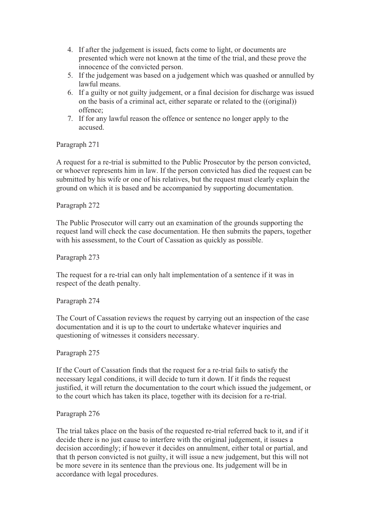- 4. If after the judgement is issued, facts come to light, or documents are presented which were not known at the time of the trial, and these prove the innocence of the convicted person.
- 5. If the judgement was based on a judgement which was quashed or annulled by lawful means.
- 6. If a guilty or not guilty judgement, or a final decision for discharge was issued on the basis of a criminal act, either separate or related to the ((original)) offence;
- 7. If for any lawful reason the offence or sentence no longer apply to the accused.

A request for a re-trial is submitted to the Public Prosecutor by the person convicted, or whoever represents him in law. If the person convicted has died the request can be submitted by his wife or one of his relatives, but the request must clearly explain the ground on which it is based and be accompanied by supporting documentation.

# Paragraph 272

The Public Prosecutor will carry out an examination of the grounds supporting the request land will check the case documentation. He then submits the papers, together with his assessment, to the Court of Cassation as quickly as possible.

Paragraph 273

The request for a re-trial can only halt implementation of a sentence if it was in respect of the death penalty.

Paragraph 274

The Court of Cassation reviews the request by carrying out an inspection of the case documentation and it is up to the court to undertake whatever inquiries and questioning of witnesses it considers necessary.

Paragraph 275

If the Court of Cassation finds that the request for a re-trial fails to satisfy the necessary legal conditions, it will decide to turn it down. If it finds the request justified, it will return the documentation to the court which issued the judgement, or to the court which has taken its place, together with its decision for a re-trial.

#### Paragraph 276

The trial takes place on the basis of the requested re-trial referred back to it, and if it decide there is no just cause to interfere with the original judgement, it issues a decision accordingly; if however it decides on annulment, either total or partial, and that th person convicted is not guilty, it will issue a new judgement, but this will not be more severe in its sentence than the previous one. Its judgement will be in accordance with legal procedures.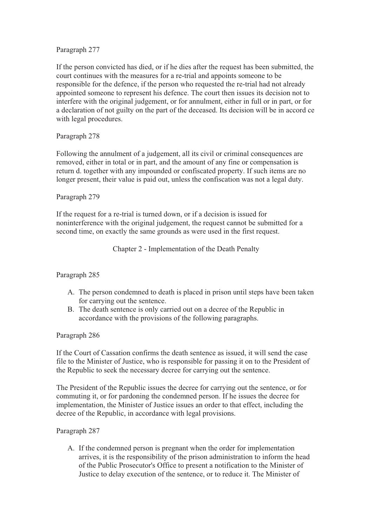If the person convicted has died, or if he dies after the request has been submitted, the court continues with the measures for a re-trial and appoints someone to be responsible for the defence, if the person who requested the re-trial had not already appointed someone to represent his defence. The court then issues its decision not to interfere with the original judgement, or for annulment, either in full or in part, or for a declaration of not guilty on the part of the deceased. Its decision will be in accord ce with legal procedures.

# Paragraph 278

Following the annulment of a judgement, all its civil or criminal consequences are removed, either in total or in part, and the amount of any fine or compensation is return d. together with any impounded or confiscated property. If such items are no longer present, their value is paid out, unless the confiscation was not a legal duty.

# Paragraph 279

If the request for a re-trial is turned down, or if a decision is issued for noninterference with the original judgement, the request cannot be submitted for a second time, on exactly the same grounds as were used in the first request.

Chapter 2 - Implementation of the Death Penalty

#### Paragraph 285

- A. The person condemned to death is placed in prison until steps have been taken for carrying out the sentence.
- B. The death sentence is only carried out on a decree of the Republic in accordance with the provisions of the following paragraphs.

#### Paragraph 286

If the Court of Cassation confirms the death sentence as issued, it will send the case file to the Minister of Justice, who is responsible for passing it on to the President of the Republic to seek the necessary decree for carrying out the sentence.

The President of the Republic issues the decree for carrying out the sentence, or for commuting it, or for pardoning the condemned person. If he issues the decree for implementation, the Minister of Justice issues an order to that effect, including the decree of the Republic, in accordance with legal provisions.

#### Paragraph 287

A. If the condemned person is pregnant when the order for implementation arrives, it is the responsibility of the prison administration to inform the head of the Public Prosecutor's Office to present a notification to the Minister of Justice to delay execution of the sentence, or to reduce it. The Minister of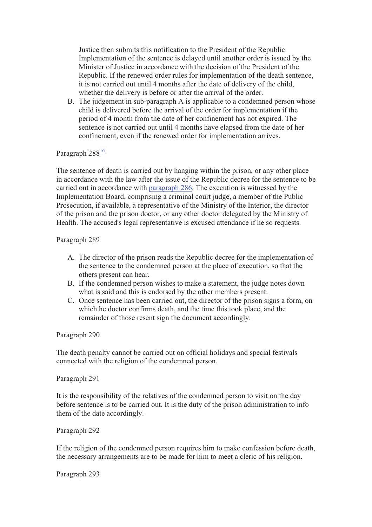Justice then submits this notification to the President of the Republic. Implementation of the sentence is delayed until another order is issued by the Minister of Justice in accordance with the decision of the President of the Republic. If the renewed order rules for implementation of the death sentence, it is not carried out until 4 months after the date of delivery of the child, whether the delivery is before or after the arrival of the order.

B. The judgement in sub-paragraph A is applicable to a condemned person whose child is delivered before the arrival of the order for implementation if the period of 4 month from the date of her confinement has not expired. The sentence is not carried out until 4 months have elapsed from the date of her confinement, even if the renewed order for implementation arrives.

# Paragraph 288<sup>16</sup>

The sentence of death is carried out by hanging within the prison, or any other place in accordance with the law after the issue of the Republic decree for the sentence to be carried out in accordance with paragraph 286. The execution is witnessed by the Implementation Board, comprising a criminal court judge, a member of the Public Prosecution, if available, a representative of the Ministry of the Interior, the director of the prison and the prison doctor, or any other doctor delegated by the Ministry of Health. The accused's legal representative is excused attendance if he so requests.

#### Paragraph 289

- A. The director of the prison reads the Republic decree for the implementation of the sentence to the condemned person at the place of execution, so that the others present can hear.
- B. If the condemned person wishes to make a statement, the judge notes down what is said and this is endorsed by the other members present.
- C. Once sentence has been carried out, the director of the prison signs a form, on which he doctor confirms death, and the time this took place, and the remainder of those resent sign the document accordingly.

#### Paragraph 290

The death penalty cannot be carried out on official holidays and special festivals connected with the religion of the condemned person.

#### Paragraph 291

It is the responsibility of the relatives of the condemned person to visit on the day before sentence is to be carried out. It is the duty of the prison administration to info them of the date accordingly.

#### Paragraph 292

If the religion of the condemned person requires him to make confession before death, the necessary arrangements are to be made for him to meet a cleric of his religion.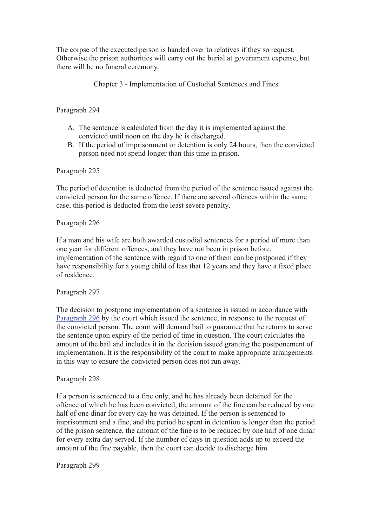The corpse of the executed person is handed over to relatives if they so request. Otherwise the prison authorities will carry out the burial at government expense, but there will be no funeral ceremony.

Chapter 3 - Implementation of Custodial Sentences and Fines

# Paragraph 294

- A. The sentence is calculated from the day it is implemented against the convicted until noon on the day he is discharged.
- B. If the period of imprisonment or detention is only 24 hours, then the convicted person need not spend longer than this time in prison.

#### Paragraph 295

The period of detention is deducted from the period of the sentence issued against the convicted person for the same offence. If there are several offences within the same case, this period is deducted from the least severe penalty.

#### Paragraph 296

If a man and his wife are both awarded custodial sentences for a period of more than one year for different offences, and they have not been in prison before, implementation of the sentence with regard to one of them can be postponed if they have responsibility for a young child of less that 12 years and they have a fixed place of residence.

#### Paragraph 297

The decision to postpone implementation of a sentence is issued in accordance with Paragraph 296 by the court which issued the sentence, in response to the request of the convicted person. The court will demand bail to guarantee that he returns to serve the sentence upon expiry of the period of time in question. The court calculates the amount of the bail and includes it in the decision issued granting the postponement of implementation. It is the responsibility of the court to make appropriate arrangements in this way to ensure the convicted person does not run away.

#### Paragraph 298

If a person is sentenced to a fine only, and he has already been detained for the offence of which he has been convicted, the amount of the fine can be reduced by one half of one dinar for every day he was detained. If the person is sentenced to imprisonment and a fine, and the period he spent in detention is longer than the period of the prison sentence, the amount of the fine is to be reduced by one half of one dinar for every extra day served. If the number of days in question adds up to exceed the amount of the fine payable, then the court can decide to discharge him.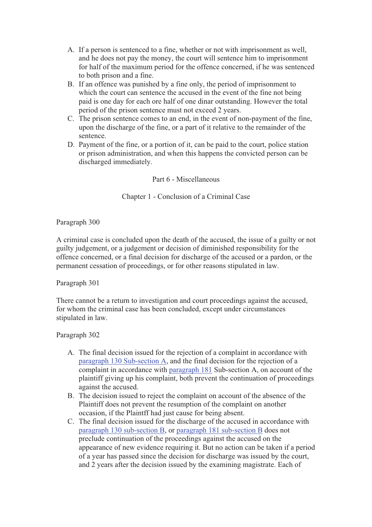- A. If a person is sentenced to a fine, whether or not with imprisonment as well, and he does not pay the money, the court will sentence him to imprisonment for half of the maximum period for the offence concerned, if he was sentenced to both prison and a fine.
- B. If an offence was punished by a fine only, the period of imprisonment to which the court can sentence the accused in the event of the fine not being paid is one day for each ore half of one dinar outstanding. However the total period of the prison sentence must not exceed 2 years.
- C. The prison sentence comes to an end, in the event of non-payment of the fine, upon the discharge of the fine, or a part of it relative to the remainder of the sentence.
- D. Payment of the fine, or a portion of it, can be paid to the court, police station or prison administration, and when this happens the convicted person can be discharged immediately.

# Part 6 - Miscellaneous

# Chapter 1 - Conclusion of a Criminal Case

Paragraph 300

A criminal case is concluded upon the death of the accused, the issue of a guilty or not guilty judgement, or a judgement or decision of diminished responsibility for the offence concerned, or a final decision for discharge of the accused or a pardon, or the permanent cessation of proceedings, or for other reasons stipulated in law.

Paragraph 301

There cannot be a return to investigation and court proceedings against the accused, for whom the criminal case has been concluded, except under circumstances stipulated in law.

- A. The final decision issued for the rejection of a complaint in accordance with paragraph 130 Sub-section A, and the final decision for the rejection of a complaint in accordance with paragraph 181 Sub-section A, on account of the plaintiff giving up his complaint, both prevent the continuation of proceedings against the accused.
- B. The decision issued to reject the complaint on account of the absence of the Plaintiff does not prevent the resumption of the complaint on another occasion, if the Plaintff had just cause for being absent.
- C. The final decision issued for the discharge of the accused in accordance with paragraph 130 sub-section B, or paragraph 181 sub-section B does not preclude continuation of the proceedings against the accused on the appearance of new evidence requiring it. But no action can be taken if a period of a year has passed since the decision for discharge was issued by the court, and 2 years after the decision issued by the examining magistrate. Each of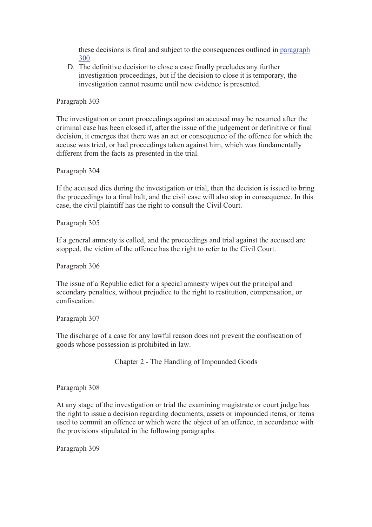these decisions is final and subject to the consequences outlined in paragraph 300.

D. The definitive decision to close a case finally precludes any further investigation proceedings, but if the decision to close it is temporary, the investigation cannot resume until new evidence is presented.

Paragraph 303

The investigation or court proceedings against an accused may be resumed after the criminal case has been closed if, after the issue of the judgement or definitive or final decision, it emerges that there was an act or consequence of the offence for which the accuse was tried, or had proceedings taken against him, which was fundamentally different from the facts as presented in the trial.

Paragraph 304

If the accused dies during the investigation or trial, then the decision is issued to bring the proceedings to a final halt, and the civil case will also stop in consequence. In this case, the civil plaintiff has the right to consult the Civil Court.

Paragraph 305

If a general amnesty is called, and the proceedings and trial against the accused are stopped, the victim of the offence has the right to refer to the Civil Court.

Paragraph 306

The issue of a Republic edict for a special amnesty wipes out the principal and secondary penalties, without prejudice to the right to restitution, compensation, or confiscation.

Paragraph 307

The discharge of a case for any lawful reason does not prevent the confiscation of goods whose possession is prohibited in law.

Chapter 2 - The Handling of Impounded Goods

Paragraph 308

At any stage of the investigation or trial the examining magistrate or court judge has the right to issue a decision regarding documents, assets or impounded items, or items used to commit an offence or which were the object of an offence, in accordance with the provisions stipulated in the following paragraphs.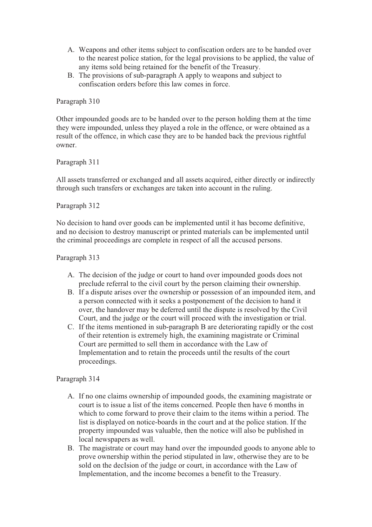- A. Weapons and other items subject to confiscation orders are to be handed over to the nearest police station, for the legal provisions to be applied, the value of any items sold being retained for the benefit of the Treasury.
- B. The provisions of sub-paragraph A apply to weapons and subject to confiscation orders before this law comes in force.

Other impounded goods are to be handed over to the person holding them at the time they were impounded, unless they played a role in the offence, or were obtained as a result of the offence, in which case they are to be handed back the previous rightful owner.

# Paragraph 311

All assets transferred or exchanged and all assets acquired, either directly or indirectly through such transfers or exchanges are taken into account in the ruling.

# Paragraph 312

No decision to hand over goods can be implemented until it has become definitive, and no decision to destroy manuscript or printed materials can be implemented until the criminal proceedings are complete in respect of all the accused persons.

# Paragraph 313

- A. The decision of the judge or court to hand over impounded goods does not preclude referral to the civil court by the person claiming their ownership.
- B. If a dispute arises over the ownership or possession of an impounded item, and a person connected with it seeks a postponement of the decision to hand it over, the handover may be deferred until the dispute is resolved by the Civil Court, and the judge or the court will proceed with the investigation or trial.
- C. If the items mentioned in sub-paragraph B are deteriorating rapidly or the cost of their retention is extremely high, the examining magistrate or Criminal Court are permitted to sell them in accordance with the Law of Implementation and to retain the proceeds until the results of the court proceedings.

- A. If no one claims ownership of impounded goods, the examining magistrate or court is to issue a list of the items concerned. People then have 6 months in which to come forward to prove their claim to the items within a period. The list is displayed on notice-boards in the court and at the police station. If the property impounded was valuable, then the notice will also be published in local newspapers as well.
- B. The magistrate or court may hand over the impounded goods to anyone able to prove ownership within the period stipulated in law, otherwise they are to be sold on the decIsion of the judge or court, in accordance with the Law of Implementation, and the income becomes a benefit to the Treasury.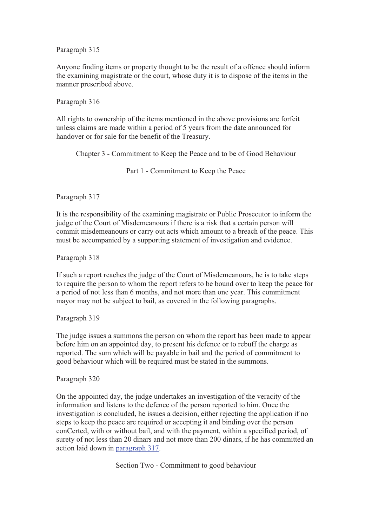Anyone finding items or property thought to be the result of a offence should inform the examining magistrate or the court, whose duty it is to dispose of the items in the manner prescribed above.

Paragraph 316

All rights to ownership of the items mentioned in the above provisions are forfeit unless claims are made within a period of 5 years from the date announced for handover or for sale for the benefit of the Treasury.

Chapter 3 - Commitment to Keep the Peace and to be of Good Behaviour

Part 1 - Commitment to Keep the Peace

Paragraph 317

It is the responsibility of the examining magistrate or Public Prosecutor to inform the judge of the Court of Misdemeanours if there is a risk that a certain person will commit misdemeanours or carry out acts which amount to a breach of the peace. This must be accompanied by a supporting statement of investigation and evidence.

Paragraph 318

If such a report reaches the judge of the Court of Misdemeanours, he is to take steps to require the person to whom the report refers to be bound over to keep the peace for a period of not less than 6 months, and not more than one year. This commitment mayor may not be subject to bail, as covered in the following paragraphs.

Paragraph 319

The judge issues a summons the person on whom the report has been made to appear before him on an appointed day, to present his defence or to rebuff the charge as reported. The sum which will be payable in bail and the period of commitment to good behaviour which will be required must be stated in the summons.

Paragraph 320

On the appointed day, the judge undertakes an investigation of the veracity of the information and listens to the defence of the person reported to him. Once the investigation is concluded, he issues a decision, either rejecting the application if no steps to keep the peace are required or accepting it and binding over the person conCerted, with or without bail, and with the payment, within a specified period, of surety of not less than 20 dinars and not more than 200 dinars, if he has committed an action laid down in paragraph 317.

Section Two - Commitment to good behaviour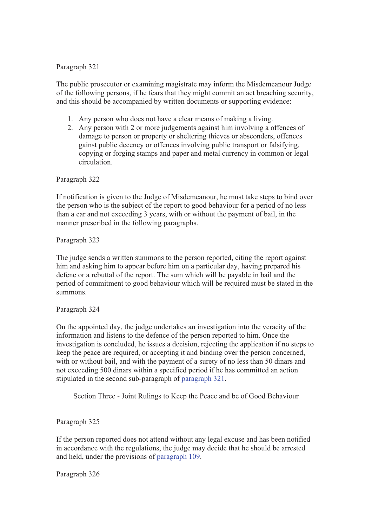The public prosecutor or examining magistrate may inform the Misdemeanour Judge of the following persons, if he fears that they might commit an act breaching security, and this should be accompanied by written documents or supporting evidence:

- 1. Any person who does not have a clear means of making a living.
- 2. Any person with 2 or more judgements against him involving a offences of damage to person or property or sheltering thieves or absconders, offences gainst public decency or offences involving public transport or falsifying, copyjng or forging stamps and paper and metal currency in common or legal circulation.

Paragraph 322

If notification is given to the Judge of Misdemeanour, he must take steps to bind over the person who is the subject of the report to good behaviour for a period of no less than a ear and not exceeding 3 years, with or without the payment of bail, in the manner prescribed in the following paragraphs.

Paragraph 323

The judge sends a written summons to the person reported, citing the report against him and asking him to appear before him on a particular day, having prepared his defenc or a rebuttal of the report. The sum which will be payable in bail and the period of commitment to good behaviour which will be required must be stated in the summons.

Paragraph 324

On the appointed day, the judge undertakes an investigation into the veracity of the information and listens to the defence of the person reported to him. Once the investigation is concluded, he issues a decision, rejecting the application if no steps to keep the peace are required, or accepting it and binding over the person concerned, with or without bail, and with the payment of a surety of no less than 50 dinars and not exceeding 500 dinars within a specified period if he has committed an action stipulated in the second sub-paragraph of paragraph 321.

Section Three - Joint Rulings to Keep the Peace and be of Good Behaviour

Paragraph 325

If the person reported does not attend without any legal excuse and has been notified in accordance with the regulations, the judge may decide that he should be arrested and held, under the provisions of paragraph 109.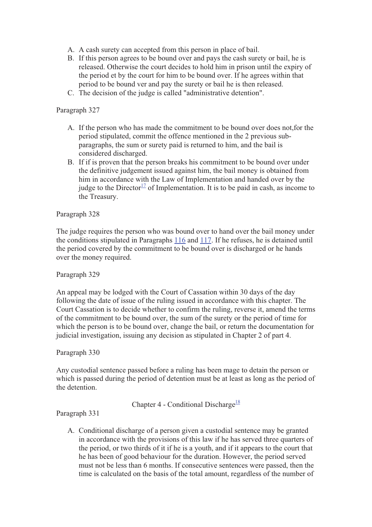- A. A cash surety can accepted from this person in place of bail.
- B. If this person agrees to be bound over and pays the cash surety or bail, he is released. Otherwise the court decides to hold him in prison until the expiry of the period et by the court for him to be bound over. If he agrees within that period to be bound ver and pay the surety or bail he is then released.
- C. The decision of the judge is called "administrative detention".

- A. If the person who has made the commitment to be bound over does not,for the period stipulated, commit the offence mentioned in the 2 previous subparagraphs, the sum or surety paid is returned to him, and the bail is considered discharged.
- B. If if is proven that the person breaks his commitment to be bound over under the definitive judgement issued against him, the bail money is obtained from him in accordance with the Law of Implementation and handed over by the judge to the Director<sup>17</sup> of Implementation. It is to be paid in cash, as income to the Treasury.

#### Paragraph 328

The judge requires the person who was bound over to hand over the bail money under the conditions stipulated in Paragraphs 116 and 117. If he refuses, he is detained until the period covered by the commitment to be bound over is discharged or he hands over the money required.

Paragraph 329

An appeal may be lodged with the Court of Cassation within 30 days of the day following the date of issue of the ruling issued in accordance with this chapter. The Court Cassation is to decide whether to confirm the ruling, reverse it, amend the terms of the commitment to be bound over, the sum of the surety or the period of time for which the person is to be bound over, change the bail, or return the documentation for judicial investigation, issuing any decision as stipulated in Chapter 2 of part 4.

#### Paragraph 330

Any custodial sentence passed before a ruling has been mage to detain the person or which is passed during the period of detention must be at least as long as the period of the detention.

Chapter 4 - Conditional Discharge<sup>18</sup>

Paragraph 331

A. Conditional discharge of a person given a custodial sentence may be granted in accordance with the provisions of this law if he has served three quarters of the period, or two thirds of it if he is a youth, and if it appears to the court that he has been of good behaviour for the duration. However, the period served must not be less than 6 months. If consecutive sentences were passed, then the time is calculated on the basis of the total amount, regardless of the number of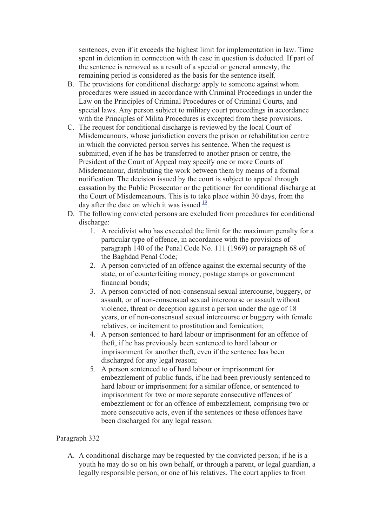sentences, even if it exceeds the highest limit for implementation in law. Time spent in detention in connection with th case in question is deducted. If part of the sentence is removed as a result of a special or general amnesty, the remaining period is considered as the basis for the sentence itself.

- B. The provisions for conditional discharge apply to someone against whom procedures were issued in accordance with Criminal Proceedings in under the Law on the Principles of Criminal Procedures or of Criminal Courts, and special laws. Any person subject to military court proceedings in accordance with the Principles of Milita Procedures is excepted from these provisions.
- C. The request for conditional discharge is reviewed by the local Court of Misdemeanours, whose jurisdiction covers the prison or rehabilitation centre in which the convicted person serves his sentence. When the request is submitted, even if he has be transferred to another prison or centre, the President of the Court of Appeal may specify one or more Courts of Misdemeanour, distributing the work between them by means of a formal notification. The decision issued by the court is subject to appeal through cassation by the Public Prosecutor or the petitioner for conditional discharge at the Court of Misdemeanours. This is to take place within 30 days, from the day after the date on which it was issued  $\frac{19}{12}$ .
- D. The following convicted persons are excluded from procedures for conditional discharge:
	- 1. A recidivist who has exceeded the limit for the maximum penalty for a particular type of offence, in accordance with the provisions of paragraph 140 of the Penal Code No. 111 (1969) or paragraph 68 of the Baghdad Penal Code;
	- 2. A person convicted of an offence against the external security of the state, or of counterfeiting money, postage stamps or government financial bonds;
	- 3. A person convicted of non-consensual sexual intercourse, buggery, or assault, or of non-consensual sexual intercourse or assault without violence, threat or deception against a person under the age of 18 years, or of non-consensual sexual intercourse or buggery with female relatives, or incitement to prostitution and fornication;
	- 4. A person sentenced to hard labour or imprisonment for an offence of theft, if he has previously been sentenced to hard labour or imprisonment for another theft, even if the sentence has been discharged for any legal reason;
	- 5. A person sentenced to of hard labour or imprisonment for embezzlement of public funds, if he had been previously sentenced to hard labour or imprisonment for a similar offence, or sentenced to imprisonment for two or more separate consecutive offences of embezzlement or for an offence of embezzlement, comprising two or more consecutive acts, even if the sentences or these offences have been discharged for any legal reason.

# Paragraph 332

A. A conditional discharge may be requested by the convicted person; if he is a youth he may do so on his own behalf, or through a parent, or legal guardian, a legally responsible person, or one of his relatives. The court applies to from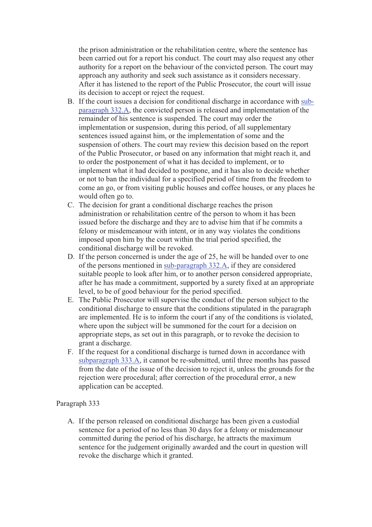the prison administration or the rehabilitation centre, where the sentence has been carried out for a report his conduct. The court may also request any other authority for a report on the behaviour of the convicted person. The court may approach any authority and seek such assistance as it considers necessary. After it has listened to the report of the Public Prosecutor, the court will issue its decision to accept or reject the request.

- B. If the court issues a decision for conditional discharge in accordance with subparagraph 332.A, the convicted person is released and implementation of the remainder of his sentence is suspended. The court may order the implementation or suspension, during this period, of all supplementary sentences issued against him, or the implementation of some and the suspension of others. The court may review this decision based on the report of the Public Prosecutor, or based on any information that might reach it, and to order the postponement of what it has decided to implement, or to implement what it had decided to postpone, and it has also to decide whether or not to ban the individual for a specified period of time from the freedom to come an go, or from visiting public houses and coffee houses, or any places he would often go to.
- C. The decision for grant a conditional discharge reaches the prison administration or rehabilitation centre of the person to whom it has been issued before the discharge and they are to advise him that if he commits a felony or misdemeanour with intent, or in any way violates the conditions imposed upon him by the court within the trial period specified, the conditional discharge will be revoked.
- D. If the person concerned is under the age of 25, he will be handed over to one of the persons mentioned in sub-paragraph 332.A, if they are considered suitable people to look after him, or to another person considered appropriate, after he has made a commitment, supported by a surety fixed at an appropriate level, to be of good behaviour for the period specified.
- E. The Public Prosecutor will supervise the conduct of the person subject to the conditional discharge to ensure that the conditions stipulated in the paragraph are implemented. He is to inform the court if any of the conditions is violated, where upon the subject will be summoned for the court for a decision on appropriate steps, as set out in this paragraph, or to revoke the decision to grant a discharge.
- F. If the request for a conditional discharge is turned down in accordance with subparagraph 333.A, it cannot be re-submitted, until three months has passed from the date of the issue of the decision to reject it, unless the grounds for the rejection were procedural; after correction of the procedural error, a new application can be accepted.

#### Paragraph 333

A. If the person released on conditional discharge has been given a custodial sentence for a period of no less than 30 days for a felony or misdemeanour committed during the period of his discharge, he attracts the maximum sentence for the judgement originally awarded and the court in question will revoke the discharge which it granted.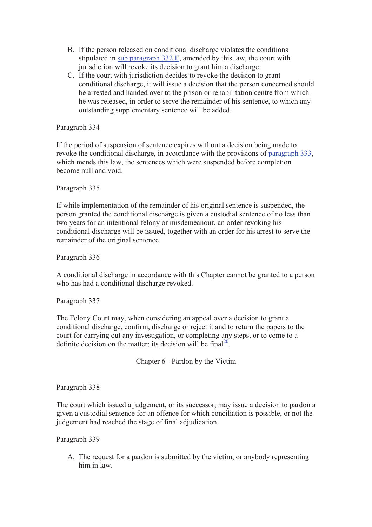- B. If the person released on conditional discharge violates the conditions stipulated in sub paragraph 332.E, amended by this law, the court with jurisdiction will revoke its decision to grant him a discharge.
- C. If the court with jurisdiction decides to revoke the decision to grant conditional discharge, it will issue a decision that the person concerned should be arrested and handed over to the prison or rehabilitation centre from which he was released, in order to serve the remainder of his sentence, to which any outstanding supplementary sentence will be added.

If the period of suspension of sentence expires without a decision being made to revoke the conditional discharge, in accordance with the provisions of paragraph 333, which mends this law, the sentences which were suspended before completion become null and void.

# Paragraph 335

If while implementation of the remainder of his original sentence is suspended, the person granted the conditional discharge is given a custodial sentence of no less than two years for an intentional felony or misdemeanour, an order revoking his conditional discharge will be issued, together with an order for his arrest to serve the remainder of the original sentence.

Paragraph 336

A conditional discharge in accordance with this Chapter cannot be granted to a person who has had a conditional discharge revoked.

Paragraph 337

The Felony Court may, when considering an appeal over a decision to grant a conditional discharge, confirm, discharge or reject it and to return the papers to the court for carrying out any investigation, or completing any steps, or to come to a definite decision on the matter; its decision will be final<sup>20</sup>.

Chapter 6 - Pardon by the Victim

#### Paragraph 338

The court which issued a judgement, or its successor, may issue a decision to pardon a given a custodial sentence for an offence for which conciliation is possible, or not the judgement had reached the stage of final adjudication.

Paragraph 339

A. The request for a pardon is submitted by the victim, or anybody representing him in law.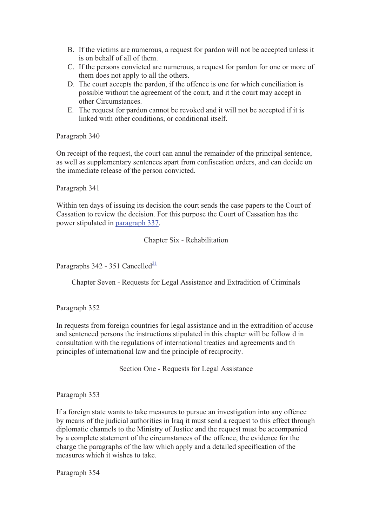- B. If the victims are numerous, a request for pardon will not be accepted unless it is on behalf of all of them.
- C. If the persons convicted are numerous, a request for pardon for one or more of them does not apply to all the others.
- D. The court accepts the pardon, if the offence is one for which conciliation is possible without the agreement of the court, and it the court may accept in other Circumstances.
- E. The request for pardon cannot be revoked and it will not be accepted if it is linked with other conditions, or conditional itself.

On receipt of the request, the court can annul the remainder of the principal sentence, as well as supplementary sentences apart from confiscation orders, and can decide on the immediate release of the person convicted.

Paragraph 341

Within ten days of issuing its decision the court sends the case papers to the Court of Cassation to review the decision. For this purpose the Court of Cassation has the power stipulated in paragraph 337.

Chapter Six - Rehabilitation

Paragraphs  $342 - 351$  Cancelled<sup>21</sup>

Chapter Seven - Requests for Legal Assistance and Extradition of Criminals

Paragraph 352

In requests from foreign countries for legal assistance and in the extradition of accuse and sentenced persons the instructions stipulated in this chapter will be follow d in consultation with the regulations of international treaties and agreements and th principles of international law and the principle of reciprocity.

Section One - Requests for Legal Assistance

Paragraph 353

If a foreign state wants to take measures to pursue an investigation into any offence by means of the judicial authorities in Iraq it must send a request to this effect through diplomatic channels to the Ministry of Justice and the request must be accompanied by a complete statement of the circumstances of the offence, the evidence for the charge the paragraphs of the law which apply and a detailed specification of the measures which it wishes to take.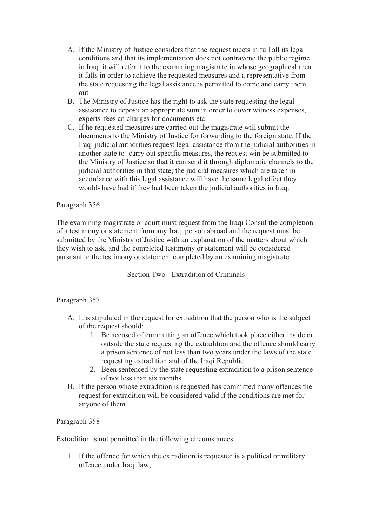- A. If the Ministry of Justice considers that the request meets in full all its legal conditions and that its implementation does not contravene the public regime in Iraq, it will refer it to the examining magistrate in whose geographical area it falls in order to achieve the requested measures and a representative from the state requesting the legal assistance is permitted to come and carry them out.
- B. The Ministry of Justice has the right to ask the state requesting the legal assistance to deposit an appropriate sum in order to cover witness expenses, experts' fees an charges for documents etc.
- C. If he requested measures are carried out the magistrate will submit the documents to the Ministry of Justice for forwarding to the foreign state. If the Iraqi judicial authorities request legal assistance from the judicial authorities in another state to- carry out specific measures, the request win be submitted to the Ministry of Justice so that it can send it through diplomatic channels to the judicial authorities in that state; the judicial measures which are taken in accordance with this legal assistance will have the same legal effect they would- have had if they had been taken the judicial authorities in Iraq.

The examining magistrate or court must request from the Iraqi Consul the completion of a testimony or statement from any Iraqi person abroad and the request must be submitted by the Ministry of Justice with an explanation of the matters about which they wish to ask. and the completed testimony or statement will be considered pursuant to the testimony or statement completed by an examining magistrate.

Section Two - Extradition of Criminals

#### Paragraph 357

- A. It is stipulated in the request for extradition that the person who is the subject of the request should:
	- 1. Be accused of committing an offence which took place either inside or outside the state requesting the extradition and the offence should carry a prison sentence of not less than two years under the laws of the state requesting extradition and of the Iraqi Republic.
	- 2. Been sentenced by the state requesting extradition to a prison sentence of not less than six months.
- B. If the person whose extradition is requested has committed many offences the request for extradition will be considered valid if the conditions are met for anyone of them.

#### Paragraph 358

Extradition is not permitted in the following circumstances:

1. If the offence for which the extradition is requested is a political or military offence under Iraqi law;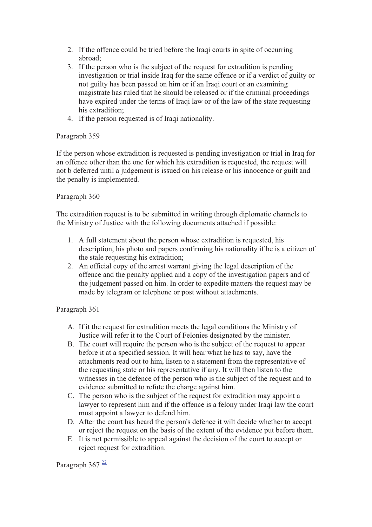- 2. If the offence could be tried before the Iraqi courts in spite of occurring abroad;
- 3. If the person who is the subject of the request for extradition is pending investigation or trial inside Iraq for the same offence or if a verdict of guilty or not guilty has been passed on him or if an Iraqi court or an examining magistrate has ruled that he should be released or if the criminal proceedings have expired under the terms of Iraqi law or of the law of the state requesting his extradition;
- 4. If the person requested is of Iraqi nationality.

If the person whose extradition is requested is pending investigation or trial in Iraq for an offence other than the one for which his extradition is requested, the request will not b deferred until a judgement is issued on his release or his innocence or guilt and the penalty is implemented.

# Paragraph 360

The extradition request is to be submitted in writing through diplomatic channels to the Ministry of Justice with the following documents attached if possible:

- 1. A full statement about the person whose extradition is requested, his description, his photo and papers confirming his nationality if he is a citizen of the stale requesting his extradition;
- 2. An official copy of the arrest warrant giving the legal description of the offence and the penalty applied and a copy of the investigation papers and of the judgement passed on him. In order to expedite matters the request may be made by telegram or telephone or post without attachments.

# Paragraph 361

- A. If it the request for extradition meets the legal conditions the Ministry of Justice will refer it to the Court of Felonies designated by the minister.
- B. The court will require the person who is the subject of the request to appear before it at a specified session. It will hear what he has to say, have the attachments read out to him, listen to a statement from the representative of the requesting state or his representative if any. It will then listen to the witnesses in the defence of the person who is the subject of the request and to evidence submitted to refute the charge against him.
- C. The person who is the subject of the request for extradition may appoint a lawyer to represent him and if the offence is a felony under Iraqi law the court must appoint a lawyer to defend him.
- D. After the court has heard the person's defence it wilt decide whether to accept or reject the request on the basis of the extent of the evidence put before them.
- E. It is not permissible to appeal against the decision of the court to accept or reject request for extradition.

Paragraph  $367 \frac{22}{3}$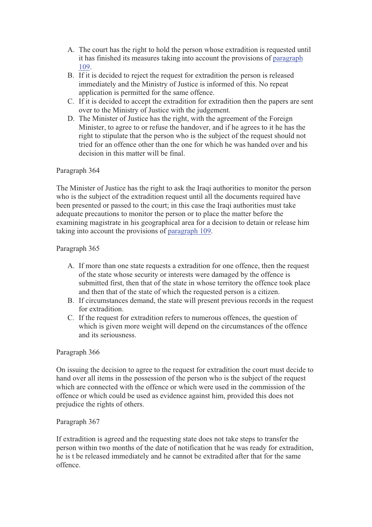- A. The court has the right to hold the person whose extradition is requested until it has finished its measures taking into account the provisions of paragraph 109.
- B. If it is decided to reject the request for extradition the person is released immediately and the Ministry of Justice is informed of this. No repeat application is permitted for the same offence.
- C. If it is decided to accept the extradition for extradition then the papers are sent over to the Ministry of Justice with the judgement.
- D. The Minister of Justice has the right, with the agreement of the Foreign Minister, to agree to or refuse the handover, and if he agrees to it he has the right to stipulate that the person who is the subject of the request should not tried for an offence other than the one for which he was handed over and his decision in this matter will be final.

## Paragraph 364

The Minister of Justice has the right to ask the Iraqi authorities to monitor the person who is the subject of the extradition request until all the documents required have been presented or passed to the court; in this case the Iraqi authorities must take adequate precautions to monitor the person or to place the matter before the examining magistrate in his geographical area for a decision to detain or release him taking into account the provisions of paragraph 109.

## Paragraph 365

- A. If more than one state requests a extradition for one offence, then the request of the state whose security or interests were damaged by the offence is submitted first, then that of the state in whose territory the offence took place and then that of the state of which the requested person is a citizen.
- B. If circumstances demand, the state will present previous records in the request for extradition.
- C. If the request for extradition refers to numerous offences, the question of which is given more weight will depend on the circumstances of the offence and its seriousness.

#### Paragraph 366

On issuing the decision to agree to the request for extradition the court must decide to hand over all items in the possession of the person who is the subject of the request which are connected with the offence or which were used in the commission of the offence or which could be used as evidence against him, provided this does not prejudice the rights of others.

#### Paragraph 367

If extradition is agreed and the requesting state does not take steps to transfer the person within two months of the date of notification that he was ready for extradition, he is t be released immediately and he cannot be extradited after that for the same offence.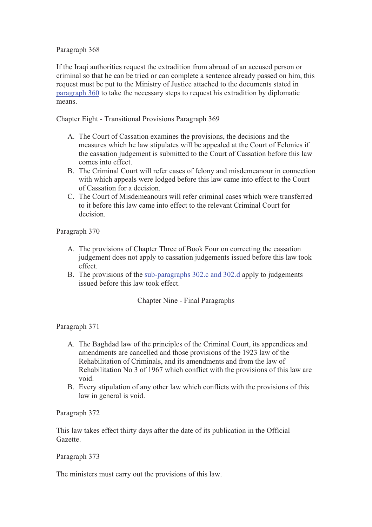## Paragraph 368

If the Iraqi authorities request the extradition from abroad of an accused person or criminal so that he can be tried or can complete a sentence already passed on him, this request must be put to the Ministry of Justice attached to the documents stated in paragraph 360 to take the necessary steps to request his extradition by diplomatic means.

Chapter Eight - Transitional Provisions Paragraph 369

- A. The Court of Cassation examines the provisions, the decisions and the measures which he law stipulates will be appealed at the Court of Felonies if the cassation judgement is submitted to the Court of Cassation before this law comes into effect.
- B. The Criminal Court will refer cases of felony and misdemeanour in connection with which appeals were lodged before this law came into effect to the Court of Cassation for a decision.
- C. The Court of Misdemeanours will refer criminal cases which were transferred to it before this law came into effect to the relevant Criminal Court for decision.

Paragraph 370

- A. The provisions of Chapter Three of Book Four on correcting the cassation judgement does not apply to cassation judgements issued before this law took effect.
- B. The provisions of the sub-paragraphs 302.c and 302.d apply to judgements issued before this law took effect.

# Chapter Nine - Final Paragraphs

Paragraph 371

- A. The Baghdad law of the principles of the Criminal Court, its appendices and amendments are cancelled and those provisions of the 1923 law of the Rehabilitation of Criminals, and its amendments and from the law of Rehabilitation No 3 of 1967 which conflict with the provisions of this law are void.
- B. Every stipulation of any other law which conflicts with the provisions of this law in general is void.

Paragraph 372

This law takes effect thirty days after the date of its publication in the Official Gazette.

#### Paragraph 373

The ministers must carry out the provisions of this law.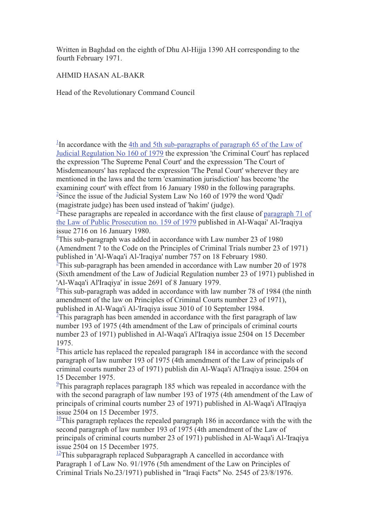Written in Baghdad on the eighth of Dhu Al-Hijja 1390 AH corresponding to the fourth February 1971.

AHMID HASAN AL-BAKR

Head of the Revolutionary Command Council

<sup>1</sup>In accordance with the  $4th$  and 5th sub-paragraphs of paragraph 65 of the Law of Judicial Regulation No 160 of 1979 the expression 'the Criminal Court' has replaced the expression 'The Supreme Penal Court' and the expresssion 'The Court of Misdemeanours' has replaced the expression 'The Penal Court' wherever they are mentioned in the laws and the term 'examination jurisdiction' has become 'the examining court' with effect from 16 January 1980 in the following paragraphs. <sup>2</sup>Since the issue of the Judicial System Law No 160 of 1979 the word 'Qadi' (magistrate judge) has been used instead of 'hakim' (judge).

 $\frac{3}{2}$ These paragraphs are repealed in accordance with the first clause of paragraph 71 of the Law of Public Prosecution no. 159 of 1979 published in Al-Waqai' Al-'Iraqiya issue 2716 on 16 January 1980.

 $4$ This sub-paragraph was added in accordance with Law number 23 of 1980 (Amendment 7 to the Code on the Principles of Criminal Trials number 23 of 1971) published in 'Al-Waqa'i Al-'Iraqiya' number 757 on 18 February 1980.

 $\frac{3}{2}$ This sub-paragraph has been amended in accordance with Law number 20 of 1978 (Sixth amendment of the Law of Judicial Regulation number 23 of 1971) published in 'Al-Waqa'i Al'Iraqiya' in issue 2691 of 8 January 1979.

 $6$ This sub-paragraph was added in accordance with law number 78 of 1984 (the ninth amendment of the law on Principles of Criminal Courts number 23 of 1971), published in Al-Waqa'i Al-'Iraqiya issue 3010 of 10 September 1984.

 $\overline{7}$ This paragraph has been amended in accordance with the first paragraph of law number 193 of 1975 (4th amendment of the Law of principals of criminal courts number 23 of 1971) published in Al-Waqa'i Al'Iraqiya issue 2504 on 15 December 1975.

 $8$ This article has replaced the repealed paragraph 184 in accordance with the second paragraph of law number 193 of 1975 (4th amendment of the Law of principals of criminal courts number 23 of 1971) publish din Al-Waqa'i Al'Iraqiya issue. 2504 on 15 December 1975.

 $\frac{9}{2}$ This paragraph replaces paragraph 185 which was repealed in accordance with the with the second paragraph of law number 193 of 1975 (4th amendment of the Law of principals of criminal courts number 23 of 1971) published in Al-Waqa'i Al'Iraqiya issue 2504 on 15 December 1975.

 $\frac{10}{2}$ This paragraph replaces the repealed paragraph 186 in accordance with the with the second paragraph of law number 193 of 1975 (4th amendment of the Law of principals of criminal courts number 23 of 1971) published in Al-Waqa'i Al-'Iraqiya issue 2504 on 15 December 1975.

 $12$ This subparagraph replaced Subparagraph A cancelled in accordance with Paragraph 1 of Law No. 91/1976 (5th amendment of the Law on Principles of Criminal Trials No.23/1971) published in "Iraqi Facts" No. 2545 of 23/8/1976.